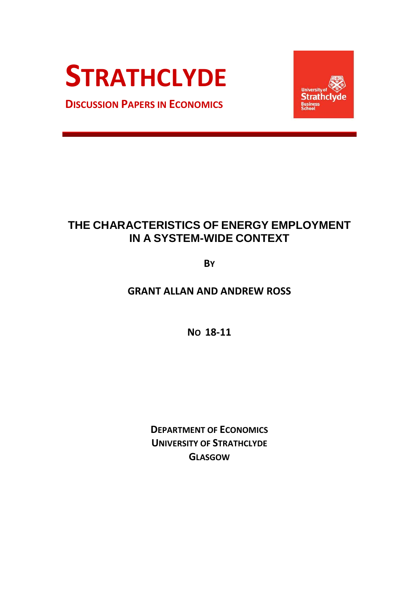# **STRATHCLYDE**

**DISCUSSION PAPERS IN ECONOMICS**



# **THE CHARACTERISTICS OF ENERGY EMPLOYMENT IN A SYSTEM-WIDE CONTEXT**

**BY**

**GRANT ALLAN AND ANDREW ROSS**

**NO 18-11**

**DEPARTMENT OF ECONOMICS UNIVERSITY OF STRATHCLYDE GLASGOW**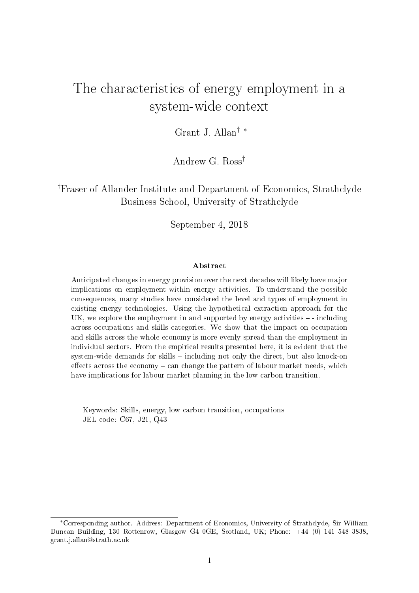# The characteristics of energy employment in a system-wide context

Grant J. Allan† ∗

Andrew G. Ross†

†Fraser of Allander Institute and Department of Economics, Strathclyde Business School, University of Strathclyde

September 4, 2018

#### Abstract

Anticipated changes in energy provision over the next decades will likely have major implications on employment within energy activities. To understand the possible consequences, many studies have considered the level and types of employment in existing energy technologies. Using the hypothetical extraction approach for the UK, we explore the employment in and supported by energy activities - including across occupations and skills categories. We show that the impact on occupation and skills across the whole economy is more evenly spread than the employment in individual sectors. From the empirical results presented here, it is evident that the system-wide demands for skills  $-$  including not only the direct, but also knock-on effects across the economy  $-\text{can change the pattern of labour market needs, which}$ have implications for labour market planning in the low carbon transition.

Keywords: Skills, energy, low carbon transition, occupations JEL code: C67, J21, Q43

<sup>∗</sup>Corresponding author. Address: Department of Economics, University of Strathclyde, Sir William Duncan Building, 130 Rottenrow, Glasgow G4 0GE, Scotland, UK; Phone: +44 (0) 141 548 3838, grant.j.allan@strath.ac.uk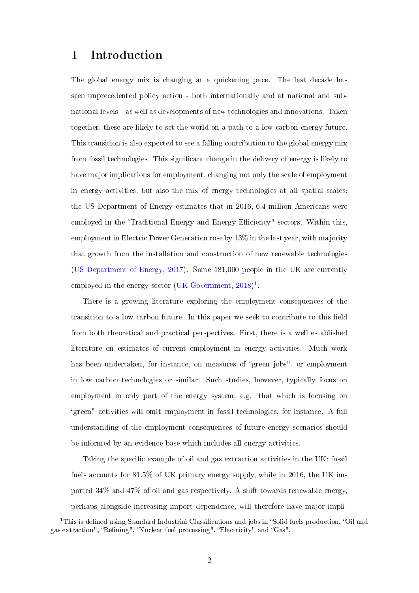# 1 Introduction

The global energy mix is changing at a quickening pace. The last decade has seen unprecedented policy action - both internationally and at national and subnational levels - as well as developments of new technologies and innovations. Taken together, these are likely to set the world on a path to a low carbon energy future. This transition is also expected to see a falling contribution to the global energy mix from fossil technologies. This significant change in the delivery of energy is likely to have major implications for employment, changing not only the scale of employment in energy activities, but also the mix of energy technologies at all spatial scales: the US Department of Energy estimates that in 2016, 6.4 million Americans were employed in the "Traditional Energy and Energy Efficiency" sectors. Within this, employment in Electric Power Generation rose by 13% in the last year, with majority that growth from the installation and construction of new renewable technologies [\(US Department of Energy,](#page-42-0) [2017\)](#page-42-0). Some 181,000 people in the UK are currently employed in the energy sector [\(UK Government,](#page-41-0)  $2018$  $2018$  $2018$ )<sup>1</sup>.

There is a growing literature exploring the employment consequences of the transition to a low carbon future. In this paper we seek to contribute to this field from both theoretical and practical perspectives. First, there is a well established literature on estimates of current employment in energy activities. Much work has been undertaken, for instance, on measures of "green jobs", or employment in low carbon technologies or similar. Such studies, however, typically focus on employment in only part of the energy system, e.g. that which is focusing on green" activities will omit employment in fossil technologies, for instance. A full understanding of the employment consequences of future energy scenarios should be informed by an evidence base which includes all energy activities.

Taking the specific example of oil and gas extraction activities in the UK: fossil fuels accounts for 81.5% of UK primary energy supply, while in 2016, the UK imported 34% and 47% of oil and gas respectively. A shift towards renewable energy, perhaps alongside increasing import dependence, will therefore have major impli-

<span id="page-2-0"></span><sup>&</sup>lt;sup>1</sup>This is defined using Standard Industrial Classifications and jobs in "Solid fuels production, "Oil and gas extraction", "Refining", "Nuclear fuel processing", "Electricity" and "Gas".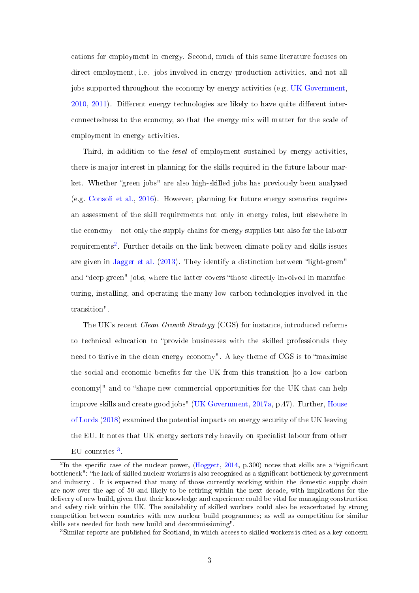cations for employment in energy. Second, much of this same literature focuses on direct employment, i.e. jobs involved in energy production activities, and not all jobs supported throughout the economy by energy activities (e.g. [UK Government,](#page-41-1)  $2010, 2011$  $2010, 2011$ ). Different energy technologies are likely to have quite different interconnectedness to the economy, so that the energy mix will matter for the scale of employment in energy activities.

Third, in addition to the *level* of employment sustained by energy activities, there is major interest in planning for the skills required in the future labour market. Whether "green jobs" are also high-skilled jobs has previously been analysed (e.g. [Consoli et al.,](#page-39-0) [2016\)](#page-39-0). However, planning for future energy scenarios requires an assessment of the skill requirements not only in energy roles, but elsewhere in the economy  $-$  not only the supply chains for energy supplies but also for the labour requirements<sup>[2](#page-3-0)</sup>. Further details on the link between climate policy and skills issues are given in [Jagger et al.](#page-39-1) [\(2013\)](#page-39-1). They identify a distinction between "light-green" and "deep-green" jobs, where the latter covers "those directly involved in manufacturing, installing, and operating the many low carbon technologies involved in the transition".

The UK's recent *Clean Growth Strategy* (CGS) for instance, introduced reforms to technical education to "provide businesses with the skilled professionals they need to thrive in the clean energy economy". A key theme of CGS is to "maximise" the social and economic benets for the UK from this transition [to a low carbon economy]" and to "shape new commercial opportunities for the UK that can help improve skills and create good jobs" [\(UK Government,](#page-41-3) [2017a,](#page-41-3) p.47). Further, [House](#page-39-2) [of Lords](#page-39-2) [\(2018\)](#page-39-2) examined the potential impacts on energy security of the UK leaving the EU. It notes that UK energy sectors rely heavily on specialist labour from other EU countries<sup>[3](#page-3-1)</sup>.

<span id="page-3-0"></span><sup>&</sup>lt;sup>2</sup>In the specific case of the nuclear power, [\(Hoggett,](#page-39-3) [2014,](#page-39-3) p.300) notes that skills are a "significant bottleneck": "he lack of skilled nuclear workers is also recognised as a significant bottleneck by government and industry . It is expected that many of those currently working within the domestic supply chain are now over the age of 50 and likely to be retiring within the next decade, with implications for the delivery of new build, given that their knowledge and experience could be vital for managing construction and safety risk within the UK. The availability of skilled workers could also be exacerbated by strong competition between countries with new nuclear build programmes; as well as competition for similar skills sets needed for both new build and decommissioning".

<span id="page-3-1"></span><sup>&</sup>lt;sup>3</sup>Similar reports are published for Scotland, in which access to skilled workers is cited as a key concern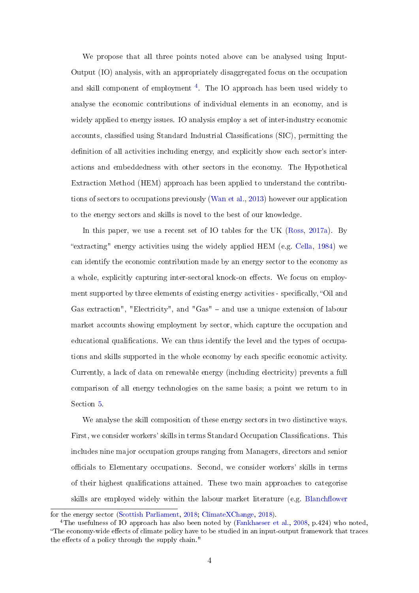We propose that all three points noted above can be analysed using Input-Output (IO) analysis, with an appropriately disaggregated focus on the occupation and skill component of employment <sup>[4](#page-4-0)</sup>. The IO approach has been used widely to analyse the economic contributions of individual elements in an economy, and is widely applied to energy issues. IO analysis employ a set of inter-industry economic accounts, classified using Standard Industrial Classifications (SIC), permitting the definition of all activities including energy, and explicitly show each sector's interactions and embeddedness with other sectors in the economy. The Hypothetical Extraction Method (HEM) approach has been applied to understand the contributions of sectors to occupations previously [\(Wan et al.,](#page-42-1) [2013\)](#page-42-1) however our application to the energy sectors and skills is novel to the best of our knowledge.

In this paper, we use a recent set of IO tables for the UK [\(Ross,](#page-40-0) [2017a\)](#page-40-0). By "extracting" energy activities using the widely applied HEM (e.g. [Cella,](#page-38-0)  $1984$ ) we can identify the economic contribution made by an energy sector to the economy as a whole, explicitly capturing inter-sectoral knock-on effects. We focus on employment supported by three elements of existing energy activities - specifically, "Oil and Gas extraction", "Electricity", and "Gas" - and use a unique extension of labour market accounts showing employment by sector, which capture the occupation and educational qualifications. We can thus identify the level and the types of occupations and skills supported in the whole economy by each specic economic activity. Currently, a lack of data on renewable energy (including electricity) prevents a full comparison of all energy technologies on the same basis; a point we return to in Section [5.](#page-28-0)

We analyse the skill composition of these energy sectors in two distinctive ways. First, we consider workers' skills in terms Standard Occupation Classifications. This includes nine major occupation groups ranging from Managers, directors and senior officials to Elementary occupations. Second, we consider workers' skills in terms of their highest qualications attained. These two main approaches to categorise skills are employed widely within the labour market literature (e.g. Blanchflower

[for the energy sector \(Scottish Parliament,](#page-38-1) [2018;](#page-40-1) [ClimateXChange,](#page-38-2) [2018\)](#page-38-2).

<span id="page-4-0"></span><sup>&</sup>lt;sup>4</sup>[The usefulness of IO approach has also been noted by \(Fankhaeser et al.,](#page-38-1) [2008,](#page-39-4) p.424) who noted, "The economy-wide effects of climate policy have to be studied in an input-output framework that traces the effects of a policy through the supply chain."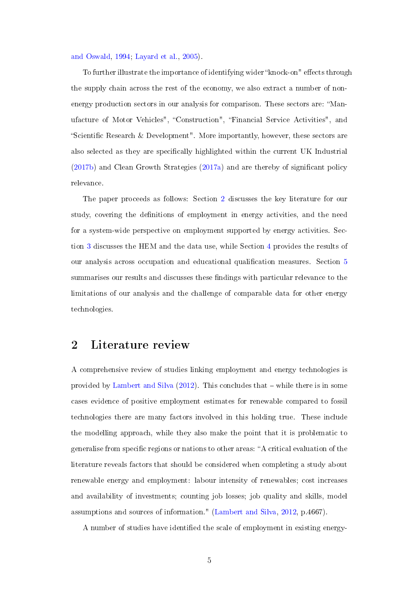[and Oswald,](#page-38-1) [1994;](#page-38-1) [Layard et al.,](#page-40-2) [2005\)](#page-40-2).

To further illustrate the importance of identifying wider "knock-on" effects through the supply chain across the rest of the economy, we also extract a number of nonenergy production sectors in our analysis for comparison. These sectors are: Manufacture of Motor Vehicles", Construction", Financial Service Activities", and "Scientific Research & Development". More importantly, however, these sectors are also selected as they are specifically highlighted within the current UK Industrial [\(2017b\)](#page-41-4) and Clean Growth Strategies [\(2017a\)](#page-41-3) and are thereby of signicant policy relevance.

The paper proceeds as follows: Section [2](#page-5-0) discusses the key literature for our study, covering the definitions of employment in energy activities, and the need for a system-wide perspective on employment supported by energy activities. Section [3](#page-9-0) discusses the HEM and the data use, while Section [4](#page-14-0) provides the results of our analysis across occupation and educational qualification measures. Section [5](#page-28-0) summarises our results and discusses these findings with particular relevance to the limitations of our analysis and the challenge of comparable data for other energy technologies.

### <span id="page-5-0"></span>2 Literature review

A comprehensive review of studies linking employment and energy technologies is provided by [Lambert and Silva](#page-40-3)  $(2012)$ . This concludes that  $-$  while there is in some cases evidence of positive employment estimates for renewable compared to fossil technologies there are many factors involved in this holding true. These include the modelling approach, while they also make the point that it is problematic to generalise from specific regions or nations to other areas: "A critical evaluation of the literature reveals factors that should be considered when completing a study about renewable energy and employment: labour intensity of renewables; cost increases and availability of investments; counting job losses; job quality and skills, model assumptions and sources of information." [\(Lambert and Silva,](#page-40-3) [2012,](#page-40-3) p.4667).

A number of studies have identied the scale of employment in existing energy-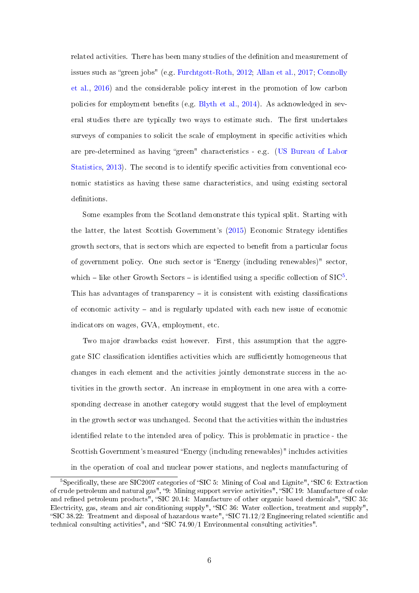related activities. There has been many studies of the definition and measurement of issues such as "green jobs" (e.g. [Furchtgott-Roth,](#page-39-5) [2012;](#page-39-5) [Allan et al.,](#page-38-3) [2017;](#page-38-3) [Connolly](#page-39-6) [et al.,](#page-39-6) [2016\)](#page-39-6) and the considerable policy interest in the promotion of low carbon policies for employment benefits (e.g. [Blyth et al.,](#page-38-4) [2014\)](#page-38-4). As acknowledged in several studies there are typically two ways to estimate such. The first undertakes surveys of companies to solicit the scale of employment in specific activities which are pre-determined as having "green" characteristics - e.g. [\(US Bureau of Labor](#page-42-2) [Statistics,](#page-42-2) [2013\)](#page-42-2). The second is to identify specific activities from conventional economic statistics as having these same characteristics, and using existing sectoral definitions.

Some examples from the Scotland demonstrate this typical split. Starting with the latter, the latest Scottish Government's [\(2015\)](#page-40-4) Economic Strategy identifies growth sectors, that is sectors which are expected to benefit from a particular focus of government policy. One such sector is Energy (including renewables)" sector, which  $-$  like other Growth Sectors  $-$  is identified using a specific collection of SIC<sup>[5](#page-6-0)</sup>. This has advantages of transparency  $-$  it is consistent with existing classifications of economic activity  $-$  and is regularly updated with each new issue of economic indicators on wages, GVA, employment, etc.

Two major drawbacks exist however. First, this assumption that the aggregate SIC classification identifies activities which are sufficiently homogeneous that changes in each element and the activities jointly demonstrate success in the activities in the growth sector. An increase in employment in one area with a corresponding decrease in another category would suggest that the level of employment in the growth sector was unchanged. Second that the activities within the industries identified relate to the intended area of policy. This is problematic in practice - the Scottish Government's measured Energy (including renewables)" includes activities in the operation of coal and nuclear power stations, and neglects manufacturing of

<span id="page-6-0"></span> ${}^{5}$ Specifically, these are SIC2007 categories of "SIC 5: Mining of Coal and Lignite", "SIC 6: Extraction of crude petroleum and natural gas", "9: Mining support service activities", "SIC 19: Manufacture of coke and refined petroleum products", "SIC 20.14: Manufacture of other organic based chemicals", "SIC 35: Electricity, gas, steam and air conditioning supply", "SIC 36: Water collection, treatment and supply", "SIC 38.22: Treatment and disposal of hazardous waste", "SIC 71.12/2 Engineering related scientific and technical consulting activities", and "SIC  $74.90/1$  Environmental consulting activities".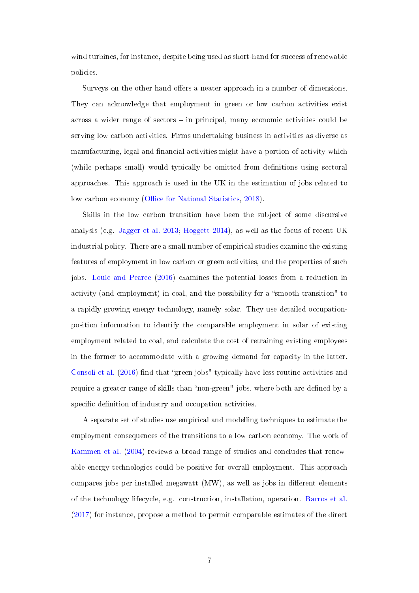wind turbines, for instance, despite being used as short-hand for success of renewable policies.

Surveys on the other hand offers a neater approach in a number of dimensions. They can acknowledge that employment in green or low carbon activities exist across a wider range of sectors in principal, many economic activities could be serving low carbon activities. Firms undertaking business in activities as diverse as manufacturing, legal and financial activities might have a portion of activity which (while perhaps small) would typically be omitted from definitions using sectoral approaches. This approach is used in the UK in the estimation of jobs related to low carbon economy (Office for National Statistics, [2018\)](#page-40-5).

Skills in the low carbon transition have been the subject of some discursive analysis (e.g. [Jagger et al.](#page-39-1) [2013;](#page-39-1) [Hoggett](#page-39-3) [2014\)](#page-39-3), as well as the focus of recent UK industrial policy. There are a small number of empirical studies examine the existing features of employment in low carbon or green activities, and the properties of such jobs. [Louie and Pearce](#page-40-6) [\(2016\)](#page-40-6) examines the potential losses from a reduction in activity (and employment) in coal, and the possibility for a "smooth transition" to a rapidly growing energy technology, namely solar. They use detailed occupationposition information to identify the comparable employment in solar of existing employment related to coal, and calculate the cost of retraining existing employees in the former to accommodate with a growing demand for capacity in the latter. [Consoli et al.](#page-39-0)  $(2016)$  find that "green jobs" typically have less routine activities and require a greater range of skills than "non-green" jobs, where both are defined by a specific definition of industry and occupation activities.

A separate set of studies use empirical and modelling techniques to estimate the employment consequences of the transitions to a low carbon economy. The work of [Kammen et al.](#page-39-7) [\(2004\)](#page-39-7) reviews a broad range of studies and concludes that renewable energy technologies could be positive for overall employment. This approach compares jobs per installed megawatt  $(MW)$ , as well as jobs in different elements of the technology lifecycle, e.g. construction, installation, operation. [Barros et al.](#page-38-5) [\(2017\)](#page-38-5) for instance, propose a method to permit comparable estimates of the direct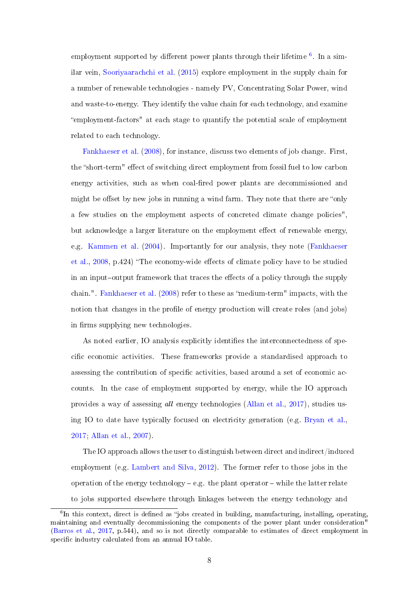employment supported by different power plants through their lifetime  $^6$  $^6$ . In a similar vein, [Sooriyaarachchi et al.](#page-41-5) [\(2015\)](#page-41-5) explore employment in the supply chain for a number of renewable technologies - namely PV, Concentrating Solar Power, wind and waste-to-energy. They identify the value chain for each technology, and examine employment-factors" at each stage to quantify the potential scale of employment related to each technology.

[Fankhaeser et al.](#page-39-4) [\(2008\)](#page-39-4), for instance, discuss two elements of job change. First, the "short-term" effect of switching direct employment from fossil fuel to low carbon energy activities, such as when coal-fired power plants are decommissioned and might be offset by new jobs in running a wind farm. They note that there are "only a few studies on the employment aspects of concreted climate change policies", but acknowledge a larger literature on the employment effect of renewable energy, e.g. [Kammen et al.](#page-39-7) [\(2004\)](#page-39-7). Importantly for our analysis, they note [\(Fankhaeser](#page-39-4) [et al.,](#page-39-4) [2008,](#page-39-4) p.424) "The economy-wide effects of climate policy have to be studied in an input-output framework that traces the effects of a policy through the supply chain.". [Fankhaeser et al.](#page-39-4) [\(2008\)](#page-39-4) refer to these as "medium-term" impacts, with the notion that changes in the profile of energy production will create roles (and jobs) in firms supplying new technologies.

As noted earlier, IO analysis explicitly identifies the interconnectedness of specific economic activities. These frameworks provide a standardised approach to assessing the contribution of specific activities, based around a set of economic accounts. In the case of employment supported by energy, while the IO approach provides a way of assessing all energy technologies [\(Allan et al.,](#page-38-3) [2017\)](#page-38-3), studies using IO to date have typically focused on electricity generation (e.g. [Bryan et al.,](#page-38-6) [2017;](#page-38-6) [Allan et al.,](#page-38-7) [2007\)](#page-38-7).

The IO approach allows the user to distinguish between direct and indirect/induced employment (e.g. [Lambert and Silva,](#page-40-3) [2012\)](#page-40-3). The former refer to those jobs in the operation of the energy technology  $-e.g.$  the plant operator  $-$  while the latter relate to jobs supported elsewhere through linkages between the energy technology and

<span id="page-8-0"></span> ${}^{6}$ In this context, direct is defined as "jobs created in building, manufacturing, installing, operating, maintaining and eventually decommissioning the components of the power plant under consideration" [\(Barros et al.,](#page-38-5) [2017,](#page-38-5) p.544), and so is not directly comparable to estimates of direct employment in specific industry calculated from an annual IO table.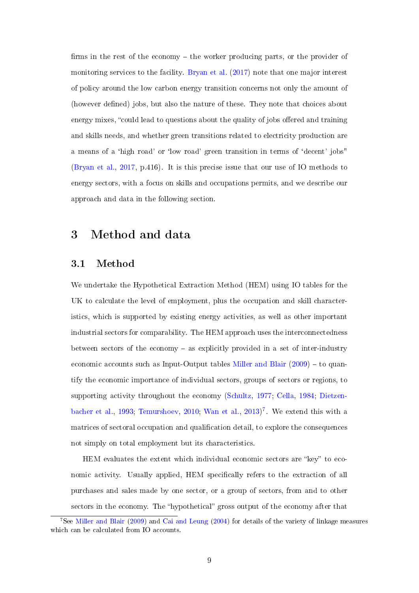firms in the rest of the economy  $-$  the worker producing parts, or the provider of monitoring services to the facility. [Bryan et al.](#page-38-6) [\(2017\)](#page-38-6) note that one major interest of policy around the low carbon energy transition concerns not only the amount of (however defined) jobs, but also the nature of these. They note that choices about energy mixes, "could lead to questions about the quality of jobs offered and training and skills needs, and whether green transitions related to electricity production are a means of a 'high road' or 'low road' green transition in terms of 'decent' jobs" [\(Bryan et al.,](#page-38-6) [2017,](#page-38-6) p.416). It is this precise issue that our use of IO methods to energy sectors, with a focus on skills and occupations permits, and we describe our approach and data in the following section.

### <span id="page-9-0"></span>3 Method and data

#### 3.1 Method

We undertake the Hypothetical Extraction Method (HEM) using IO tables for the UK to calculate the level of employment, plus the occupation and skill characteristics, which is supported by existing energy activities, as well as other important industrial sectors for comparability. The HEM approach uses the interconnectedness between sectors of the economy  $-$  as explicitly provided in a set of inter-industry economic accounts such as Input-Output tables [Miller and Blair](#page-40-7)  $(2009)$  – to quantify the economic importance of individual sectors, groups of sectors or regions, to supporting activity throughout the economy [\(Schultz,](#page-40-8) [1977;](#page-40-8) [Cella,](#page-38-0) [1984;](#page-38-0) [Dietzen](#page-39-8)[bacher et al.,](#page-39-8) [1993;](#page-39-8) [Temurshoev,](#page-41-6) [2010;](#page-41-6) [Wan et al.,](#page-42-1) [2013\)](#page-42-1) [7](#page-9-1) . We extend this with a matrices of sectoral occupation and qualification detail, to explore the consequences not simply on total employment but its characteristics.

HEM evaluates the extent which individual economic sectors are "key" to economic activity. Usually applied, HEM specifically refers to the extraction of all purchases and sales made by one sector, or a group of sectors, from and to other sectors in the economy. The "hypothetical" gross output of the economy after that

<span id="page-9-1"></span><sup>7</sup>See [Miller and Blair](#page-40-7) [\(2009\)](#page-40-7) and [Cai and Leung](#page-38-8) [\(2004\)](#page-38-8) for details of the variety of linkage measures which can be calculated from IO accounts.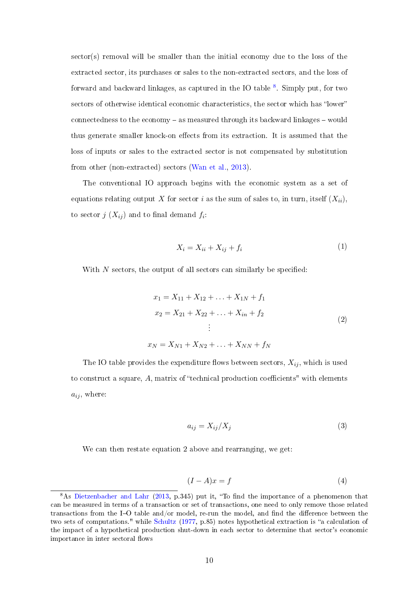sector(s) removal will be smaller than the initial economy due to the loss of the extracted sector, its purchases or sales to the non-extracted sectors, and the loss of forward and backward linkages, as captured in the IO table  $^8$  $^8$ . Simply put, for two sectors of otherwise identical economic characteristics, the sector which has "lower" connectedness to the economy  $-$  as measured through its backward linkages  $-$  would thus generate smaller knock-on effects from its extraction. It is assumed that the loss of inputs or sales to the extracted sector is not compensated by substitution from other (non-extracted) sectors [\(Wan et al.,](#page-42-1) [2013\)](#page-42-1).

The conventional IO approach begins with the economic system as a set of equations relating output X for sector i as the sum of sales to, in turn, itself  $(X_{ii})$ , to sector  $j\ (X_{ij})$  and to final demand  $f_i$ :

$$
X_i = X_{ii} + X_{ij} + f_i \tag{1}
$$

With  $N$  sectors, the output of all sectors can similarly be specified:

$$
x_1 = X_{11} + X_{12} + \dots + X_{1N} + f_1
$$
  
\n
$$
x_2 = X_{21} + X_{22} + \dots + X_{in} + f_2
$$
  
\n
$$
\vdots
$$
  
\n(2)

 $x_N = X_{N1} + X_{N2} + \ldots + X_{NN} + f_N$ 

The IO table provides the expenditure flows between sectors,  $X_{ij}$ , which is used to construct a square,  $A$ , matrix of "technical production coefficients" with elements  $a_{ij}$ , where:

$$
a_{ij} = X_{ij}/X_j \tag{3}
$$

We can then restate equation 2 above and rearranging, we get:

$$
(I - A)x = f \tag{4}
$$

<span id="page-10-0"></span> $8$ As [Dietzenbacher and Lahr](#page-39-9) [\(2013,](#page-39-9) p.345) put it, "To find the importance of a phenomenon that can be measured in terms of a transaction or set of transactions, one need to only remove those related transactions from the I-O table and/or model, re-run the model, and find the difference between the two sets of computations." while [Schultz](#page-40-8) [\(1977,](#page-40-8) p.85) notes hypothetical extraction is "a calculation of the impact of a hypothetical production shut-down in each sector to determine that sector's economic importance in inter sectoral flows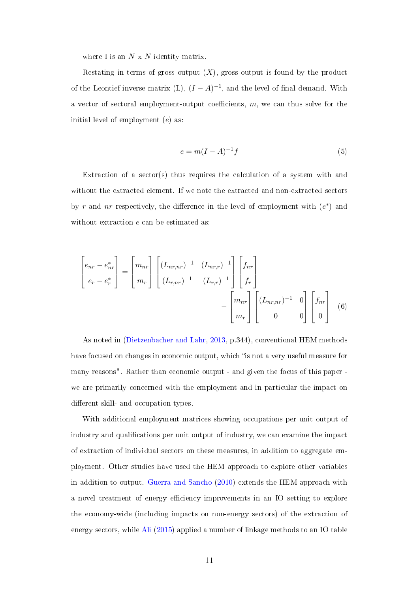where I is an  $N \times N$  identity matrix.

Restating in terms of gross output  $(X)$ , gross output is found by the product of the Leontief inverse matrix  $(L)$ ,  $(I - A)^{-1}$ , and the level of final demand. With a vector of sectoral employment-output coefficients,  $m$ , we can thus solve for the initial level of employment (e) as:

$$
e = m(I - A)^{-1}f\tag{5}
$$

Extraction of a sector(s) thus requires the calculation of a system with and without the extracted element. If we note the extracted and non-extracted sectors by r and nr respectively, the difference in the level of employment with  $(e^*)$  and without extraction  $e$  can be estimated as:

$$
\begin{bmatrix} e_{nr} - e_{nr}^* \\ e_r - e_r^* \end{bmatrix} = \begin{bmatrix} m_{nr} \\ m_r \end{bmatrix} \begin{bmatrix} (L_{nr,nr})^{-1} & (L_{nr,r})^{-1} \\ (L_{r,nr})^{-1} & (L_{r,r})^{-1} \end{bmatrix} \begin{bmatrix} f_{nr} \\ f_r \end{bmatrix} - \begin{bmatrix} m_{nr} \\ m_r \end{bmatrix} \begin{bmatrix} (L_{nr,nr})^{-1} & 0 \\ 0 & 0 \end{bmatrix} \begin{bmatrix} f_{nr} \\ 0 \end{bmatrix}
$$
(6)

As noted in [\(Dietzenbacher and Lahr,](#page-39-9) [2013,](#page-39-9) p.344), conventional HEM methods have focused on changes in economic output, which "is not a very useful measure for many reasons". Rather than economic output - and given the focus of this paper we are primarily concerned with the employment and in particular the impact on different skill- and occupation types.

With additional employment matrices showing occupations per unit output of industry and qualifications per unit output of industry, we can examine the impact of extraction of individual sectors on these measures, in addition to aggregate employment. Other studies have used the HEM approach to explore other variables in addition to output. [Guerra and Sancho](#page-39-10) [\(2010\)](#page-39-10) extends the HEM approach with a novel treatment of energy efficiency improvements in an IO setting to explore the economy-wide (including impacts on non-energy sectors) of the extraction of energy sectors, while [Ali](#page-38-9) [\(2015\)](#page-38-9) applied a number of linkage methods to an IO table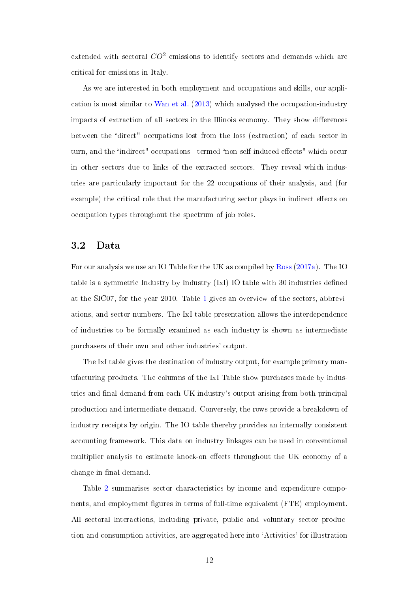extended with sectoral  $CO^2$  emissions to identify sectors and demands which are critical for emissions in Italy.

As we are interested in both employment and occupations and skills, our application is most similar to [Wan et al.](#page-42-1) [\(2013\)](#page-42-1) which analysed the occupation-industry impacts of extraction of all sectors in the Illinois economy. They show differences between the "direct" occupations lost from the loss (extraction) of each sector in turn, and the "indirect" occupations - termed "non-self-induced effects" which occur in other sectors due to links of the extracted sectors. They reveal which industries are particularly important for the 22 occupations of their analysis, and (for example) the critical role that the manufacturing sector plays in indirect effects on occupation types throughout the spectrum of job roles.

#### <span id="page-12-0"></span>3.2 Data

For our analysis we use an IO Table for the UK as compiled by [Ross](#page-40-0) [\(2017a\)](#page-40-0). The IO table is a symmetric Industry by Industry (IxI) IO table with 30 industries dened at the SIC07, for the year 2010. Table [1](#page-15-0) gives an overview of the sectors, abbreviations, and sector numbers. The IxI table presentation allows the interdependence of industries to be formally examined as each industry is shown as intermediate purchasers of their own and other industries' output.

The IxI table gives the destination of industry output, for example primary manufacturing products. The columns of the IxI Table show purchases made by industries and final demand from each UK industry's output arising from both principal production and intermediate demand. Conversely, the rows provide a breakdown of industry receipts by origin. The IO table thereby provides an internally consistent accounting framework. This data on industry linkages can be used in conventional multiplier analysis to estimate knock-on effects throughout the UK economy of a change in final demand.

Table [2](#page-16-0) summarises sector characteristics by income and expenditure components, and employment figures in terms of full-time equivalent (FTE) employment. All sectoral interactions, including private, public and voluntary sector production and consumption activities, are aggregated here into `Activities' for illustration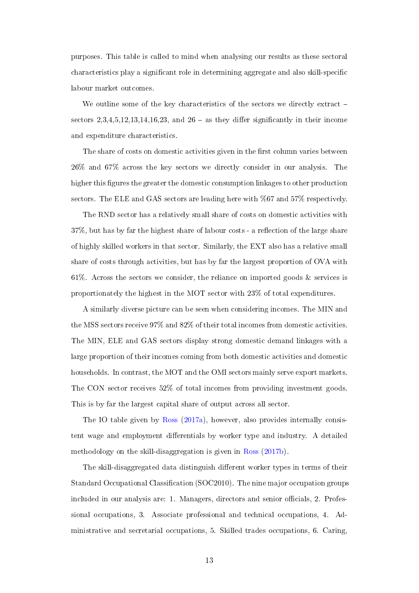purposes. This table is called to mind when analysing our results as these sectoral characteristics play a significant role in determining aggregate and also skill-specific labour market outcomes.

We outline some of the key characteristics of the sectors we directly extract – sectors  $2,3,4,5,12,13,14,16,23$ , and  $26$  – as they differ significantly in their income and expenditure characteristics.

The share of costs on domestic activities given in the first column varies between 26% and 67% across the key sectors we directly consider in our analysis. The higher this figures the greater the domestic consumption linkages to other production sectors. The ELE and GAS sectors are leading here with %67 and 57% respectively.

The RND sector has a relatively small share of costs on domestic activities with 37%, but has by far the highest share of labour costs - a reflection of the large share of highly skilled workers in that sector. Similarly, the EXT also has a relative small share of costs through activities, but has by far the largest proportion of OVA with 61%. Across the sectors we consider, the reliance on imported goods & services is proportionately the highest in the MOT sector with 23% of total expenditures.

A similarly diverse picture can be seen when considering incomes. The MIN and the MSS sectors receive 97% and 82% of their total incomes from domestic activities. The MIN, ELE and GAS sectors display strong domestic demand linkages with a large proportion of their incomes coming from both domestic activities and domestic households. In contrast, the MOT and the OMI sectors mainly serve export markets. The CON sector receives 52% of total incomes from providing investment goods. This is by far the largest capital share of output across all sector.

The IO table given by [Ross](#page-40-0) [\(2017a\)](#page-40-0), however, also provides internally consistent wage and employment differentials by worker type and industry. A detailed methodology on the skill-disaggregation is given in [Ross](#page-40-9) [\(2017b\)](#page-40-9).

The skill-disaggregated data distinguish different worker types in terms of their Standard Occupational Classification (SOC2010). The nine major occupation groups included in our analysis are: 1. Managers, directors and senior officials, 2. Professional occupations, 3. Associate professional and technical occupations, 4. Administrative and secretarial occupations, 5. Skilled trades occupations, 6. Caring,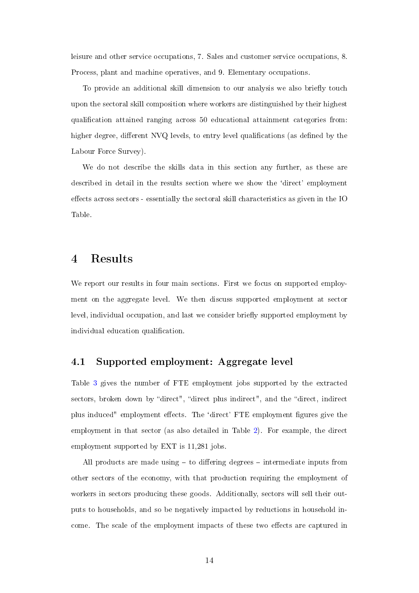leisure and other service occupations, 7. Sales and customer service occupations, 8. Process, plant and machine operatives, and 9. Elementary occupations.

To provide an additional skill dimension to our analysis we also briefly touch upon the sectoral skill composition where workers are distinguished by their highest qualification attained ranging across 50 educational attainment categories from: higher degree, different NVQ levels, to entry level qualifications (as defined by the Labour Force Survey).

We do not describe the skills data in this section any further, as these are described in detail in the results section where we show the 'direct' employment effects across sectors - essentially the sectoral skill characteristics as given in the IO Table.

### <span id="page-14-0"></span>4 Results

We report our results in four main sections. First we focus on supported employment on the aggregate level. We then discuss supported employment at sector level, individual occupation, and last we consider briefly supported employment by individual education qualification.

#### 4.1 Supported employment: Aggregate level

Table [3](#page-17-0) gives the number of FTE employment jobs supported by the extracted sectors, broken down by "direct", "direct plus indirect", and the "direct, indirect plus induced" employment effects. The 'direct' FTE employment figures give the employment in that sector (as also detailed in Table [2\)](#page-16-0). For example, the direct employment supported by EXT is 11,281 jobs.

All products are made using  $-$  to differing degrees  $-$  intermediate inputs from other sectors of the economy, with that production requiring the employment of workers in sectors producing these goods. Additionally, sectors will sell their outputs to households, and so be negatively impacted by reductions in household income. The scale of the employment impacts of these two effects are captured in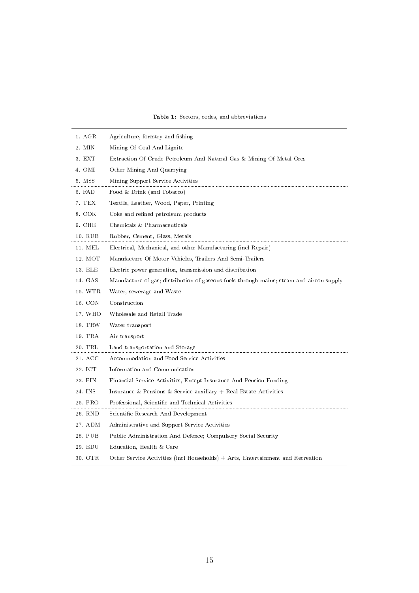<span id="page-15-0"></span>

| 1. AGR  | Agriculture, forestry and fishing                                                        |
|---------|------------------------------------------------------------------------------------------|
| 2. MIN  | Mining Of Coal And Lignite                                                               |
| 3. EXT  | Extraction Of Crude Petroleum And Natural Gas & Mining Of Metal Ores                     |
| 4. OMI  | Other Mining And Quarrying                                                               |
| 5. MSS  | Mining Support Service Activities                                                        |
| 6. FAD  | Food & Drink (and Tobacco)                                                               |
| 7. TEX  | Textile, Leather, Wood, Paper, Printing                                                  |
| 8. COK  | Coke and refined petroleum products                                                      |
| 9. CHE  | Chemicals & Pharmaceuticals                                                              |
| 10. RUB | Rubber, Cement, Glass, Metals                                                            |
| 11. MEL | Electrical, Mechanical, and other Manufacturing (incl Repair)                            |
| 12. MOT | Manufacture Of Motor Vehicles, Trailers And Semi-Trailers                                |
| 13. ELE | Electric power generation, transmission and distribution                                 |
| 14. GAS | Manufacture of gas; distribution of gaseous fuels through mains; steam and aircon supply |
| 15. WTR | Water, sewerage and Waste                                                                |
| 16. CON | Construction                                                                             |
| 17. WHO | Wholesale and Retail Trade                                                               |
| 18. TRW | Water transport                                                                          |
| 19. TRA | Air transport                                                                            |
| 20. TRL | Land transportation and Storage                                                          |
| 21. ACC | Accommodation and Food Service Activities                                                |
| 22. ICT | Information and Communication                                                            |
| 23. FIN | Financial Service Activities, Except Insurance And Pension Funding                       |
| 24. INS | Insurance & Pensions & Service auxiliary $+$ Real Estate Activities                      |
| 25. PRO | Professional, Scientific and Technical Activities                                        |
| 26. RND | Scientific Research And Development                                                      |
| 27. ADM | Administrative and Support Service Activities                                            |
| 28. PUB | Public Administration And Defence; Compulsory Social Security                            |
| 29. EDU | Education, Health & Care                                                                 |
| 30. OTR | Other Service Activities (incl Households) + Arts, Entertainment and Recreation          |

#### Table 1: Sectors, codes, and abbreviations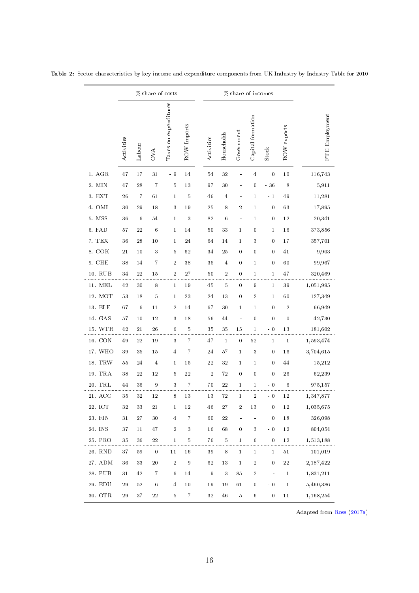|                    | % share of costs |                |                  |                       |                         | % share of incomes |                |                      |                   |                     |                  |                |
|--------------------|------------------|----------------|------------------|-----------------------|-------------------------|--------------------|----------------|----------------------|-------------------|---------------------|------------------|----------------|
|                    | Activities       | Labour         | <b>OVA</b>       | Taxes on expenditures | ROW Imports             | Activities         | Households     | Government           | Capital formation | <b>Stock</b>        | ROW exports      | FTE Employment |
| 1. AGR             | 47               | 17             | 31               | - 9                   | 14                      | 54                 | 32             |                      | $\overline{4}$    | $\bf{0}$            | 10               | 116,743        |
| 2. MIN             | 47               | $2\sqrt{8}$    | $\overline{7}$   | 5                     | 13                      | 97                 | 30             |                      | 0                 | $-36$               | 8                | 5,911          |
| 3. EXT             | 26               | $\overline{7}$ | 61               | 1                     | 5                       | 46                 | $\overline{4}$ |                      | $\mathbf{1}$      | $-1$                | 49               | 11,281         |
| 4. OMI             | 30               | 29             | 18               | 3                     | 19                      | 25                 | 8              | $\sqrt{2}$           | $\mathbf{1}$      | 0                   | 63               | 17,895         |
| 5. MSS             | 36               | 6              | 54               | 1                     | 3                       | 82                 | 6              |                      | 1                 | 0                   | 12               | 20,341         |
| 6. FAD             | 57               | 22             | 6                | 1                     | 14                      | 50                 | 33             | $\mathbf{1}$         | 0                 | $\mathbf{1}$        | 16               | 373,856        |
| 7. TEX             | 36               | 28             | $10\,$           | 1                     | 24                      | 64                 | 14             | 1                    | 3                 | 0                   | 17               | 357,701        |
| 8. COK             | $2\sqrt{1}$      | 10             | 3                | 5                     | 62                      | 34                 | 25             | 0                    | 0                 | $-0$                | 41               | 9,903          |
| 9. CHE             | 38               | 14             | 7                | $\boldsymbol{2}$      | 38                      | 35                 | $\overline{4}$ | 0                    | $\mathbf{1}$      | $-0$                | 60               | 99,967         |
| 10. RUB            | 34               | 22             | 15               | $\overline{2}$        | 27                      | 50                 | $\,2$          | 0                    | $\mathbf{1}$      | 1                   | 47               | 320,469        |
| $11.~\mathrm{MEL}$ | 42               | 30             | 8                | $\mathbf{1}$          | 19                      | 45                 | $\bf 5$        | $\bf{0}$             | 9                 | $\mathbf{1}$        | 39               | 1,051,995      |
| 12. MOT            | 53               | 18             | 5                | 1                     | 23                      | 24                 | 13             | 0                    | $\boldsymbol{2}$  | 1                   | 60               | 127,349        |
| 13. ELE            | 67               | 6              | 11               | $\boldsymbol{2}$      | 14                      | 67                 | 30             | $\mathbf{1}$         | 1                 | 0                   | $\,2$            | 66,949         |
| 14. GAS            | $57\,$           | $10\,$         | 12               | 3                     | 18                      | 56                 | 44             |                      | 0                 | 0                   | $\boldsymbol{0}$ | 42,730         |
| 15. WTR            | 42               | 21             | 26               | 6                     | $\bf 5$                 | 35                 | $3\,5$         | 15                   | 1                 | $-0$                | 13               | 181,602        |
| 16. CON            | 49               | 22             | 19               | $\sqrt{3}$            | 7                       | 47                 | $\,1\,$        | $\boldsymbol{0}$     | 52                | $-1$                | $\mathbf 1$      | 1,593,474      |
| 17. WHO            | 39               | 35             | 15               | $\overline{4}$        | 7                       | 24                 | 57             | $\mathbf 1$          | 3                 | $-0$                | 16               | 3,704,615      |
| 18. TRW            | 55               | 24             | $\overline{4}$   | 1                     | 15                      | 22                 | $3\,2$         | 1                    | 1                 | 0                   | 44               | 15,212         |
| 19. TRA            | 38               | 22             | 12               | 5                     | 22                      | $\sqrt{2}$         | $72\,$         | $\boldsymbol{0}$     | 0                 | 0                   | 26               | 62,239         |
| 20. TRL            | 44               | 36             | $\boldsymbol{9}$ | 3                     | 7                       | 70                 | $2\sqrt{2}$    | 1                    | 1                 | $-0$                | 6                | 975,157        |
| 21. ACC            | 35               | 32             | 12               | 8                     | 13                      | 13                 | 72             | $\mathbf{1}$         | $\boldsymbol{2}$  | $-0$                | 12               | 1,347,877      |
| 22. ICT            | 32               | $3\sqrt{3}$    | 21               | $\,1$                 | $12\,$                  | 46                 | $\sqrt{27}$    | $\,2$                | $13\,$            | $\boldsymbol{0}$    | $12\,$           | 1,035,675      |
| 23. FIN            | $3\sqrt{1}$      | $2\,7$         | $3\,0$           | $\,4$                 | $\overline{\mathbf{7}}$ | $60\,$             | $\sqrt{22}$    | $\ddot{\phantom{1}}$ |                   | $\boldsymbol{0}$    | $18\,$           | 326,098        |
| 24. INS            | 37               | 11             | 47               | $\,2$                 | $\sqrt{3}$              | 16                 | 68             | $\boldsymbol{0}$     | $\sqrt{3}$        | $-0$                | $12\,$           | 804,054        |
| 25. PRO            | 35               | $3\,6$         | $\bf{22}$        | 1                     | 5                       | 76                 | $\bf 5$        | $\mathbf{1}$         | 6                 | 0                   | $12\,$           | 1,513,188      |
| 26. RND            | $37\,$           | $5\,9$         | $-0$             | $-11$                 | $16\,$                  | 39                 | $\,$ 8 $\,$    | $\,1\,$              | $\,1$             | $\,1$               | $5\,1$           | 101,019        |
| 27. ADM            | $36\,$           | $3\sqrt{3}$    | $20\,$           | $\,2$                 | $\boldsymbol{9}$        | 62                 | $13\,$         | $\,1\,$              | $\,2$             | $\boldsymbol{0}$    | $\sqrt{2}2$      | 2,187,422      |
| 28. PUB            | $3\sqrt{1}$      | 42             | $\overline{7}$   | $\,6\,$               | 14                      | $\boldsymbol{9}$   | $\sqrt{3}$     | 85                   | $\,2$             | $\bar{\phantom{a}}$ | $\,1$            | 1,831,211      |
| 29. EDU            | $\bf 29$         | 52             | $\,6$            | $\overline{4}$        | $10\,$                  | 19                 | 19             | 61                   | 0                 | $-0$                | $\mathbf{1}$     | 5,460,386      |
| 30. OTR            | 29               | 37             | $\bf{22}$        | 5                     | $\,7$                   | $32\,$             | 46             | 5                    | $\,6\,$           | $\boldsymbol{0}$    | 11               | 1,168,254      |

<span id="page-16-0"></span>Table 2: Sector characteristics by key income and expenditure components from UK Industry by Industry Table for 2010

Adapted from [Ross](#page-40-0) [\(2017a\)](#page-40-0)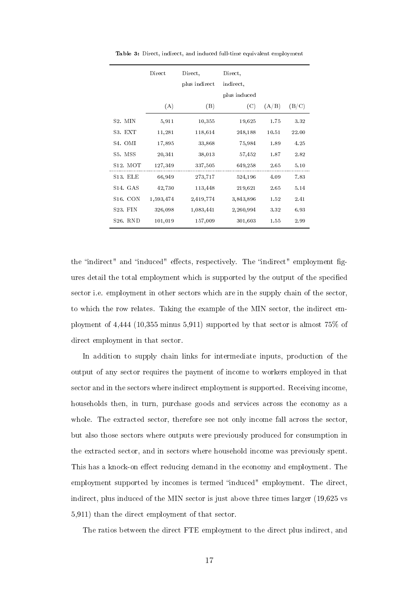<span id="page-17-0"></span>

|                       | Direct    | Direct,<br>plus indirect | Direct,<br>indirect,<br>plus induced |       |       |
|-----------------------|-----------|--------------------------|--------------------------------------|-------|-------|
|                       | (A)       | (B)                      | (C)                                  | (A/B) | (B/C) |
| S <sub>2</sub> . MIN  | 5,911     | 10,355                   | 19,625                               | 1.75  | 3.32  |
| S3. EXT               | 11,281    | 118,614                  | 248,188                              | 10.51 | 22.00 |
| S <sub>4</sub> . OMI  | 17,895    | 33,868                   | 75,984                               | 1.89  | 4.25  |
| S5. MSS               | 20,341    | 38,013                   | 57,452                               | 1.87  | 2.82  |
| S <sub>12</sub> MOT   | 127,349   | 337,505                  | 649,258                              | 2.65  | 5.10  |
| S13. ELE              | 66,949    | 273,717                  | 524,196                              | 4.09  | 7.83  |
| S <sub>14</sub> . GAS | 42,730    | 113,448                  | 219,621                              | 2.65  | 5.14  |
| S <sub>16</sub> . CON | 1,593,474 | 2,419,774                | 3,843,896                            | 1.52  | 2.41  |
| S <sub>23</sub> . FIN | 326,098   | 1,083,441                | 2,260,994                            | 3.32  | 6.93  |
| S26. RND              | 101,019   | 157,009                  | 301,603                              | 1.55  | 2.99  |

Table 3: Direct, indirect, and induced full-time equivalent employment

the "indirect" and "induced" effects, respectively. The "indirect" employment figures detail the total employment which is supported by the output of the specified sector i.e. employment in other sectors which are in the supply chain of the sector, to which the row relates. Taking the example of the MIN sector, the indirect employment of 4,444 (10,355 minus 5,911) supported by that sector is almost 75% of direct employment in that sector.

In addition to supply chain links for intermediate inputs, production of the output of any sector requires the payment of income to workers employed in that sector and in the sectors where indirect employment is supported. Receiving income, households then, in turn, purchase goods and services across the economy as a whole. The extracted sector, therefore see not only income fall across the sector, but also those sectors where outputs were previously produced for consumption in the extracted sector, and in sectors where household income was previously spent. This has a knock-on effect reducing demand in the economy and employment. The employment supported by incomes is termed "induced" employment. The direct, indirect, plus induced of the MIN sector is just above three times larger (19,625 vs 5,911) than the direct employment of that sector.

The ratios between the direct FTE employment to the direct plus indirect, and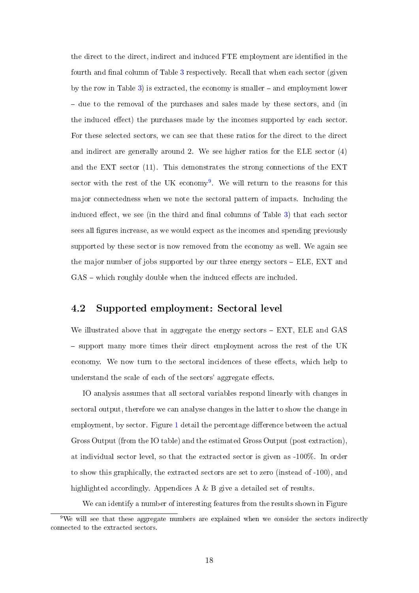the direct to the direct, indirect and induced FTE employment are identified in the fourth and final column of Table [3](#page-17-0) respectively. Recall that when each sector (given by the row in Table  $3$ ) is extracted, the economy is smaller  $-$  and employment lower - due to the removal of the purchases and sales made by these sectors, and (in the induced effect) the purchases made by the incomes supported by each sector. For these selected sectors, we can see that these ratios for the direct to the direct and indirect are generally around 2. We see higher ratios for the ELE sector (4) and the EXT sector (11). This demonstrates the strong connections of the EXT sector with the rest of the UK economy<sup>[9](#page-18-0)</sup>. We will return to the reasons for this major connectedness when we note the sectoral pattern of impacts. Including the induced effect, we see (in the third and final columns of Table  $3$ ) that each sector sees all figures increase, as we would expect as the incomes and spending previously supported by these sector is now removed from the economy as well. We again see the major number of jobs supported by our three energy sectors – ELE, EXT and  $GAS$  – which roughly double when the induced effects are included.

#### 4.2 Supported employment: Sectoral level

We illustrated above that in aggregate the energy sectors  $-$  EXT, ELE and GAS support many more times their direct employment across the rest of the UK economy. We now turn to the sectoral incidences of these effects, which help to understand the scale of each of the sectors' aggregate effects.

IO analysis assumes that all sectoral variables respond linearly with changes in sectoral output, therefore we can analyse changes in the latter to show the change in employment, by sector. Figure [1](#page-20-0) detail the percentage difference between the actual Gross Output (from the IO table) and the estimated Gross Output (post extraction), at individual sector level, so that the extracted sector is given as -100%. In order to show this graphically, the extracted sectors are set to zero (instead of -100), and highlighted accordingly. Appendices A & B give a detailed set of results.

We can identify a number of interesting features from the results shown in Figure

<span id="page-18-0"></span> $9$ We will see that these aggregate numbers are explained when we consider the sectors indirectly connected to the extracted sectors.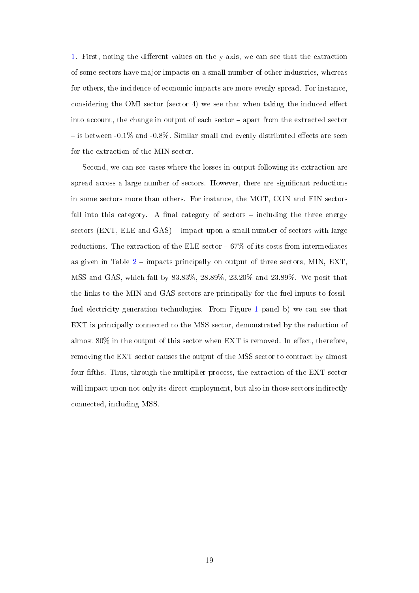[1.](#page-20-0) First, noting the different values on the y-axis, we can see that the extraction of some sectors have major impacts on a small number of other industries, whereas for others, the incidence of economic impacts are more evenly spread. For instance, considering the OMI sector (sector 4) we see that when taking the induced effect into account, the change in output of each sector apart from the extracted sector  $\sim$  is between -0.1% and -0.8%. Similar small and evenly distributed effects are seen for the extraction of the MIN sector.

Second, we can see cases where the losses in output following its extraction are spread across a large number of sectors. However, there are signicant reductions in some sectors more than others. For instance, the MOT, CON and FIN sectors fall into this category. A final category of sectors  $-$  including the three energy sectors  $(EXT, ELE and GAS)$  – impact upon a small number of sectors with large reductions. The extraction of the ELE sector  $-67\%$  of its costs from intermediates as given in Table  $2$  – impacts principally on output of three sectors, MIN, EXT, MSS and GAS, which fall by 83.83%, 28.89%, 23.20% and 23.89%. We posit that the links to the MIN and GAS sectors are principally for the fuel inputs to fossilfuel electricity generation technologies. From Figure [1](#page-20-0) panel b) we can see that EXT is principally connected to the MSS sector, demonstrated by the reduction of almost  $80\%$  in the output of this sector when EXT is removed. In effect, therefore, removing the EXT sector causes the output of the MSS sector to contract by almost four-fths. Thus, through the multiplier process, the extraction of the EXT sector will impact upon not only its direct employment, but also in those sectors indirectly connected, including MSS.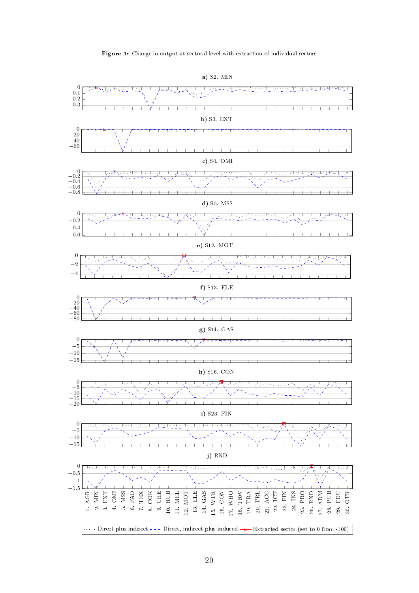#### Figure 1: Change in output at sectoral level with extraction of individual sectors

<span id="page-20-0"></span>

a) S2. MIN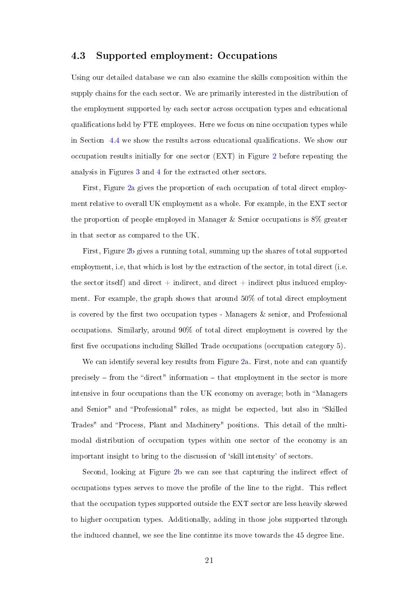#### 4.3 Supported employment: Occupations

Using our detailed database we can also examine the skills composition within the supply chains for the each sector. We are primarily interested in the distribution of the employment supported by each sector across occupation types and educational qualifications held by FTE employees. Here we focus on nine occupation types while in Section  $4.4$  we show the results across educational qualifications. We show our occupation results initially for one sector (EXT) in Figure [2](#page-22-0) before repeating the analysis in Figures [3](#page-24-0) and [4](#page-25-0) for the extracted other sectors.

First, Figure [2a](#page-22-0) gives the proportion of each occupation of total direct employment relative to overall UK employment as a whole. For example, in the EXT sector the proportion of people employed in Manager & Senior occupations is 8% greater in that sector as compared to the UK.

First, Figure [2b](#page-22-0) gives a running total, summing up the shares of total supported employment, i.e, that which is lost by the extraction of the sector, in total direct (i.e. the sector itself) and direct  $+$  indirect, and direct  $+$  indirect plus induced employment. For example, the graph shows that around 50% of total direct employment is covered by the first two occupation types - Managers  $\&$  senior, and Professional occupations. Similarly, around 90% of total direct employment is covered by the first five occupations including Skilled Trade occupations (occupation category  $5$ ).

We can identify several key results from Figure [2a](#page-22-0). First, note and can quantify precisely  $-$  from the "direct" information  $-$  that employment in the sector is more intensive in four occupations than the UK economy on average; both in Managers and Senior" and "Professional" roles, as might be expected, but also in "Skilled Trades" and "Process, Plant and Machinery" positions. This detail of the multimodal distribution of occupation types within one sector of the economy is an important insight to bring to the discussion of `skill intensity' of sectors.

Second, looking at Figure [2b](#page-22-0) we can see that capturing the indirect effect of occupations types serves to move the profile of the line to the right. This reflect that the occupation types supported outside the EXT sector are less heavily skewed to higher occupation types. Additionally, adding in those jobs supported through the induced channel, we see the line continue its move towards the 45 degree line.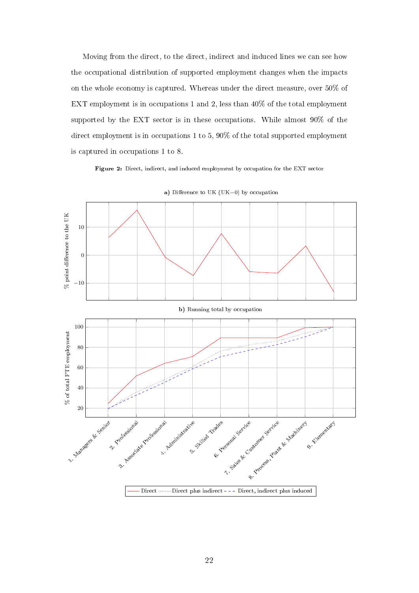Moving from the direct, to the direct, indirect and induced lines we can see how the occupational distribution of supported employment changes when the impacts on the whole economy is captured. Whereas under the direct measure, over 50% of EXT employment is in occupations 1 and 2, less than 40% of the total employment supported by the EXT sector is in these occupations. While almost 90% of the direct employment is in occupations 1 to 5, 90% of the total supported employment is captured in occupations 1 to 8.

Figure 2: Direct, indirect, and induced employment by occupation for the EXT sector

<span id="page-22-0"></span>

a) Difference to UK (UK=0) by occupation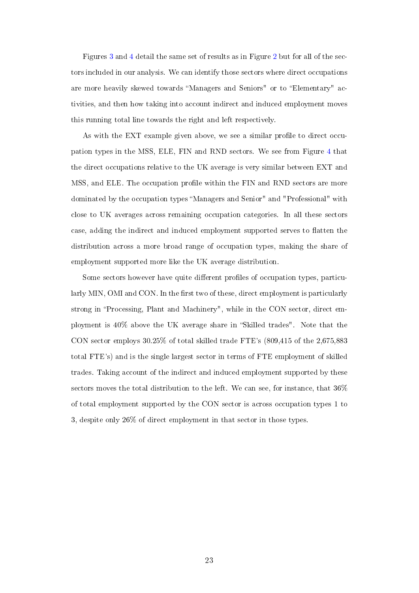Figures [3](#page-24-0) and [4](#page-25-0) detail the same set of results as in Figure [2](#page-22-0) but for all of the sectors included in our analysis. We can identify those sectors where direct occupations are more heavily skewed towards "Managers and Seniors" or to "Elementary" activities, and then how taking into account indirect and induced employment moves this running total line towards the right and left respectively.

As with the EXT example given above, we see a similar profile to direct occupation types in the MSS, ELE, FIN and RND sectors. We see from Figure [4](#page-25-0) that the direct occupations relative to the UK average is very similar between EXT and MSS, and ELE. The occupation profile within the FIN and RND sectors are more dominated by the occupation types Managers and Senior" and "Professional" with close to UK averages across remaining occupation categories. In all these sectors case, adding the indirect and induced employment supported serves to flatten the distribution across a more broad range of occupation types, making the share of employment supported more like the UK average distribution.

Some sectors however have quite different profiles of occupation types, particularly MIN, OMI and CON. In the first two of these, direct employment is particularly strong in "Processing, Plant and Machinery", while in the CON sector, direct employment is  $40\%$  above the UK average share in "Skilled trades". Note that the CON sector employs 30.25% of total skilled trade FTE's (809,415 of the 2,675,883 total FTE's) and is the single largest sector in terms of FTE employment of skilled trades. Taking account of the indirect and induced employment supported by these sectors moves the total distribution to the left. We can see, for instance, that 36% of total employment supported by the CON sector is across occupation types 1 to 3, despite only 26% of direct employment in that sector in those types.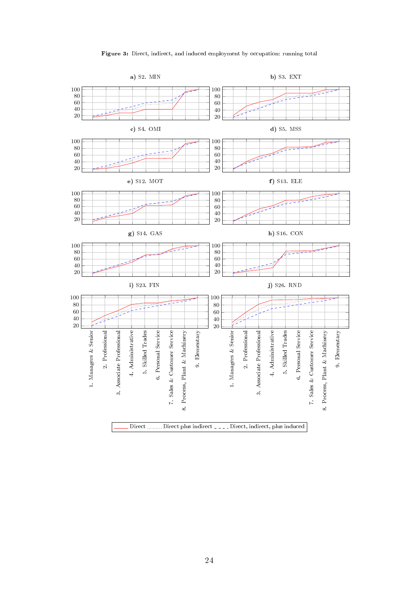

<span id="page-24-0"></span>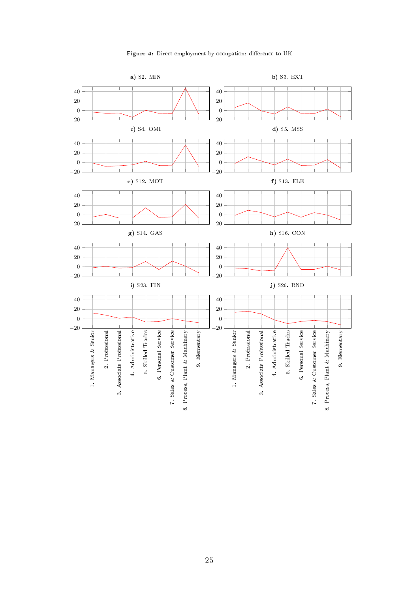

<span id="page-25-0"></span>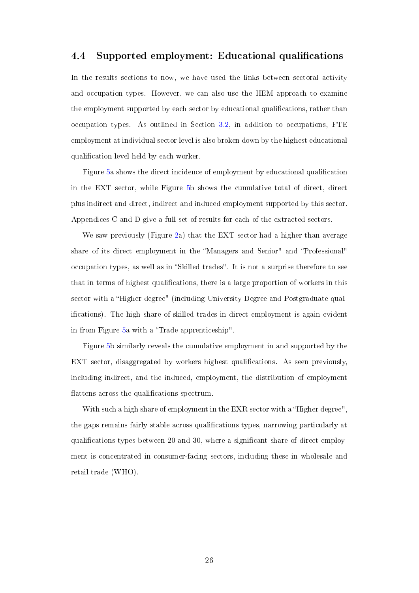#### <span id="page-26-0"></span>4.4 Supported employment: Educational qualifications

In the results sections to now, we have used the links between sectoral activity and occupation types. However, we can also use the HEM approach to examine the employment supported by each sector by educational qualications, rather than occupation types. As outlined in Section [3.2,](#page-12-0) in addition to occupations, FTE employment at individual sector level is also broken down by the highest educational qualication level held by each worker.

Figure [5a](#page-27-0) shows the direct incidence of employment by educational qualication in the EXT sector, while Figure [5b](#page-27-0) shows the cumulative total of direct, direct plus indirect and direct, indirect and induced employment supported by this sector. Appendices C and D give a full set of results for each of the extracted sectors.

We saw previously (Figure [2a](#page-22-0)) that the EXT sector had a higher than average share of its direct employment in the "Managers and Senior" and "Professional" occupation types, as well as in "Skilled trades". It is not a surprise therefore to see that in terms of highest qualifications, there is a large proportion of workers in this sector with a "Higher degree" (including University Degree and Postgraduate qualications). The high share of skilled trades in direct employment is again evident in from Figure [5a](#page-27-0) with a "Trade apprenticeship".

Figure [5b](#page-27-0) similarly reveals the cumulative employment in and supported by the EXT sector, disaggregated by workers highest qualifications. As seen previously, including indirect, and the induced, employment, the distribution of employment flattens across the qualifications spectrum.

With such a high share of employment in the EXR sector with a "Higher degree", the gaps remains fairly stable across qualifications types, narrowing particularly at qualifications types between 20 and 30, where a significant share of direct employment is concentrated in consumer-facing sectors, including these in wholesale and retail trade (WHO).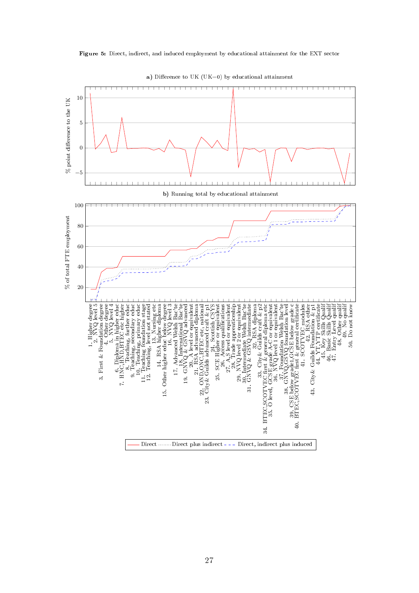<span id="page-27-0"></span>

![](_page_27_Figure_1.jpeg)

a) Difference to UK (UK=0) by educational attainment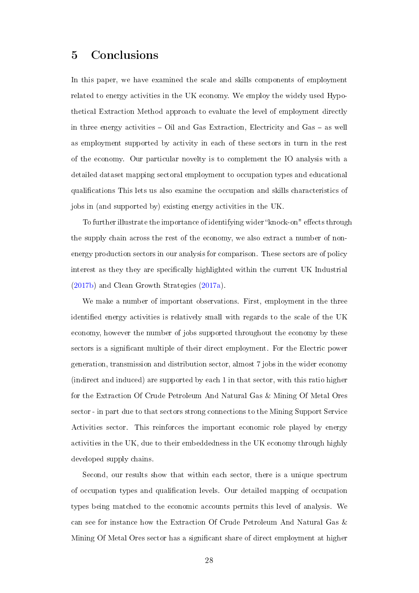# <span id="page-28-0"></span>5 Conclusions

In this paper, we have examined the scale and skills components of employment related to energy activities in the UK economy. We employ the widely used Hypothetical Extraction Method approach to evaluate the level of employment directly in three energy activities  $-$  Oil and Gas Extraction, Electricity and Gas  $-$  as well as employment supported by activity in each of these sectors in turn in the rest of the economy. Our particular novelty is to complement the IO analysis with a detailed dataset mapping sectoral employment to occupation types and educational qualications This lets us also examine the occupation and skills characteristics of jobs in (and supported by) existing energy activities in the UK.

To further illustrate the importance of identifying wider "knock-on" effects through the supply chain across the rest of the economy, we also extract a number of nonenergy production sectors in our analysis for comparison. These sectors are of policy interest as they they are specifically highlighted within the current UK Industrial [\(2017b\)](#page-41-4) and Clean Growth Strategies [\(2017a\)](#page-41-3).

We make a number of important observations. First, employment in the three identified energy activities is relatively small with regards to the scale of the UK economy, however the number of jobs supported throughout the economy by these sectors is a significant multiple of their direct employment. For the Electric power generation, transmission and distribution sector, almost 7 jobs in the wider economy (indirect and induced) are supported by each 1 in that sector, with this ratio higher for the Extraction Of Crude Petroleum And Natural Gas & Mining Of Metal Ores sector - in part due to that sectors strong connections to the Mining Support Service Activities sector. This reinforces the important economic role played by energy activities in the UK, due to their embeddedness in the UK economy through highly developed supply chains.

Second, our results show that within each sector, there is a unique spectrum of occupation types and qualication levels. Our detailed mapping of occupation types being matched to the economic accounts permits this level of analysis. We can see for instance how the Extraction Of Crude Petroleum And Natural Gas & Mining Of Metal Ores sector has a signicant share of direct employment at higher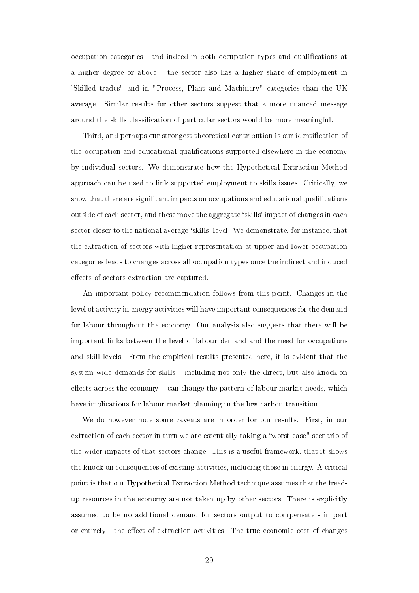occupation categories - and indeed in both occupation types and qualications at a higher degree or above – the sector also has a higher share of employment in Skilled trades" and in "Process, Plant and Machinery" categories than the UK average. Similar results for other sectors suggest that a more nuanced message around the skills classification of particular sectors would be more meaningful.

Third, and perhaps our strongest theoretical contribution is our identification of the occupation and educational qualifications supported elsewhere in the economy by individual sectors. We demonstrate how the Hypothetical Extraction Method approach can be used to link supported employment to skills issues. Critically, we show that there are significant impacts on occupations and educational qualifications outside of each sector, and these move the aggregate `skills' impact of changes in each sector closer to the national average `skills' level. We demonstrate, for instance, that the extraction of sectors with higher representation at upper and lower occupation categories leads to changes across all occupation types once the indirect and induced effects of sectors extraction are captured.

An important policy recommendation follows from this point. Changes in the level of activity in energy activities will have important consequences for the demand for labour throughout the economy. Our analysis also suggests that there will be important links between the level of labour demand and the need for occupations and skill levels. From the empirical results presented here, it is evident that the system-wide demands for skills  $-$  including not only the direct, but also knock-on effects across the economy  $-$  can change the pattern of labour market needs, which have implications for labour market planning in the low carbon transition.

We do however note some caveats are in order for our results. First, in our extraction of each sector in turn we are essentially taking a "worst-case" scenario of the wider impacts of that sectors change. This is a useful framework, that it shows the knock-on consequences of existing activities, including those in energy. A critical point is that our Hypothetical Extraction Method technique assumes that the freedup resources in the economy are not taken up by other sectors. There is explicitly assumed to be no additional demand for sectors output to compensate - in part or entirely - the effect of extraction activities. The true economic cost of changes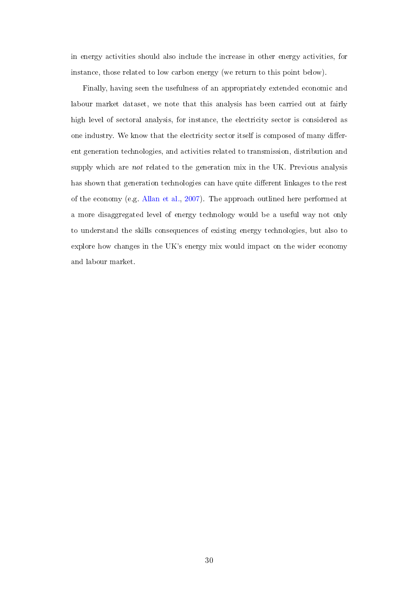in energy activities should also include the increase in other energy activities, for instance, those related to low carbon energy (we return to this point below).

Finally, having seen the usefulness of an appropriately extended economic and labour market dataset, we note that this analysis has been carried out at fairly high level of sectoral analysis, for instance, the electricity sector is considered as one industry. We know that the electricity sector itself is composed of many different generation technologies, and activities related to transmission, distribution and supply which are *not* related to the generation mix in the UK. Previous analysis has shown that generation technologies can have quite different linkages to the rest of the economy (e.g. [Allan et al.,](#page-38-7) [2007\)](#page-38-7). The approach outlined here performed at a more disaggregated level of energy technology would be a useful way not only to understand the skills consequences of existing energy technologies, but also to explore how changes in the UK's energy mix would impact on the wider economy and labour market.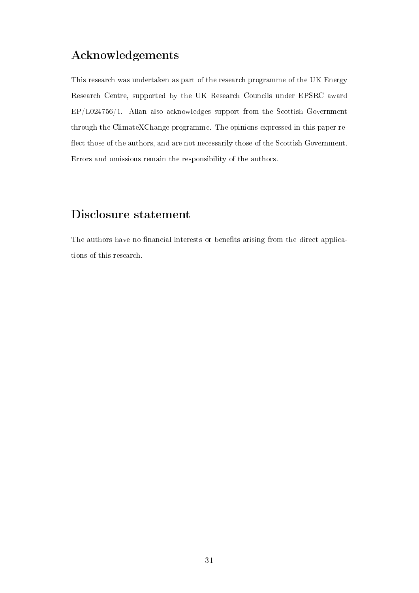# Acknowledgements

This research was undertaken as part of the research programme of the UK Energy Research Centre, supported by the UK Research Councils under EPSRC award EP/L024756/1. Allan also acknowledges support from the Scottish Government through the ClimateXChange programme. The opinions expressed in this paper re flect those of the authors, and are not necessarily those of the Scottish Government. Errors and omissions remain the responsibility of the authors.

# Disclosure statement

The authors have no financial interests or benefits arising from the direct applications of this research.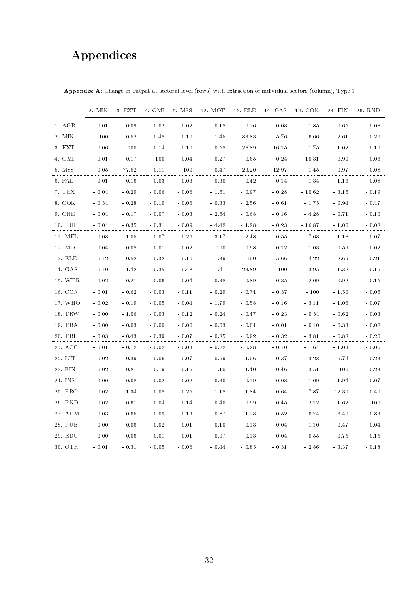# Appendices

|         | 2. MIN  | 3. EXT  | 4. OMI  | 5. MSS  | 12. MOT | 13. ELE  | 14. GAS  | 16. CON  | 23. FIN  | 26. RND |
|---------|---------|---------|---------|---------|---------|----------|----------|----------|----------|---------|
| 1. AGR  | $-0.01$ | $-0.09$ | $-0.02$ | $-0.02$ | $-0.18$ | $-0.26$  | $-0.08$  | $-1.85$  | $-0.65$  | $-0.08$ |
| 2. MIN  | $-100$  | $-0.52$ | $-0.48$ | $-0.10$ | $-1.45$ | $-83.83$ | $-5.76$  | $-6.66$  | $-2.61$  | $-0.20$ |
| 3. EXT  | $-0.06$ | $-100$  | $-0.14$ | $-0.10$ | $-0.58$ | $-28.89$ | $-16.15$ | $-1.75$  | $-1.02$  | $-0.10$ |
| 4. OMI  | $-0.01$ | $-0.17$ | $-100$  | $-0.04$ | $-0.27$ | $-0.65$  | $-0.24$  | $-10.31$ | $-0.90$  | $-0.06$ |
| 5. MSS  | $-0.05$ | - 77.52 | $-0.11$ | $-100$  | $-0.47$ | $-23.20$ | - 12.97  | $-1.45$  | $-0.97$  | $-0.08$ |
| 6. FAD  | $-0.01$ | $-0.16$ | $-0.03$ | $-0.03$ | $-0.30$ | $-0.42$  | $-0.14$  | $-1.34$  | $-1.16$  | $-0.08$ |
| 7. TEX  | $-0.04$ | $-0.29$ | $-0.06$ | $-0.06$ | $-1.51$ | $-0.97$  | $-0.28$  | $-10.62$ | $-3.15$  | $-0.19$ |
| 8. COK  | $-0.34$ | $-0.28$ | $-0.10$ | $-0.06$ | $-0.33$ | $-2.56$  | $-0.61$  | $-1.75$  | $-0.94$  | $-0.47$ |
| 9. CHE  | $-0.04$ | $-0.17$ | $-0.07$ | $-0.03$ | $-2.54$ | $-0.68$  | $-0.16$  | $-4.28$  | $-0.71$  | $-0.10$ |
| 10. RUB | $-0.04$ | $-0.35$ | $-0.31$ | $-0.09$ | $-4.42$ | $-1.28$  | $-0.23$  | - 16.87  | $-1.00$  | $-0.08$ |
| 11. MEL | $-0.08$ | $-1.05$ | $-0.07$ | $-0.26$ | $-3.17$ | $-2.48$  | $-0.55$  | $-7.68$  | $-1.18$  | $-0.07$ |
| 12. MOT | $-0.04$ | $-0.08$ | $-0.01$ | $-0.02$ | $-100$  | $-0.98$  | $-0.12$  | $-1.03$  | $-0.59$  | $-0.02$ |
| 13. ELE | $-0.12$ | $-0.52$ | $-0.32$ | $-0.10$ | $-1.39$ | $-100$   | $-5.66$  | $-4.22$  | $-2.69$  | $-0.21$ |
| 14. GAS | $-0.10$ | $-1.42$ | $-0.35$ | $-0.48$ | $-1.41$ | $-23.89$ | $-100$   | $-3.95$  | $-1.32$  | $-0.15$ |
| 15. WTR | $-0.02$ | $-0.21$ | $-0.06$ | $-0.04$ | $-0.38$ | $-0.89$  | $-0.35$  | $-2.09$  | $-0.92$  | $-0.15$ |
| 16. CON | $-0.01$ | $-0.62$ | $-0.03$ | $-0.11$ | $-0.29$ | $-0.74$  | $-0.37$  | $-100$   | $-1.50$  | $-0.05$ |
| 17. WHO | $-0.02$ | $-0.19$ | $-0.05$ | $-0.04$ | $-1.79$ | $-0.58$  | $-0.16$  | $-3.11$  | $-1.06$  | $-0.07$ |
| 18. TRW | $-0.00$ | $-1.06$ | $-0.03$ | $-0.12$ | $-0.24$ | $-0.47$  | $-0.23$  | $-0.54$  | $-0.62$  | $-0.03$ |
| 19. TRA | $-0.00$ | $-0.03$ | $-0.00$ | $-0.00$ | $-0.03$ | $-0.04$  | $-0.01$  | $-0.10$  | $-0.33$  | $-0.02$ |
| 20. TRL | $-0.03$ | $-0.43$ | $-0.39$ | $-0.07$ | $-0.85$ | $-0.92$  | $-0.32$  | $-3.81$  | $-6.88$  | $-0.20$ |
| 21. ACC | $-0.01$ | $-0.12$ | $-0.02$ | $-0.03$ | $-0.22$ | $-0.28$  | $-0.10$  | $-1.64$  | $-1.03$  | $-0.05$ |
| 22. ICT | $-0.02$ | $-0.39$ | $-0.06$ | $-0.07$ | $-0.59$ | $-1.06$  | $-0.37$  | $-3.28$  | $-5.74$  | $-0.23$ |
| 23. FIN | $-0.02$ | $-0.81$ | $-0.19$ | $-0.15$ | $-1.10$ | $-1.40$  | $-0.46$  | $-3.51$  | $-100$   | $-0.23$ |
| 24. INS | $-0.00$ | $-0.08$ | $-0.02$ | $-0.02$ | $-0.30$ | $-0.19$  | $-0.08$  | $-1.09$  | $-1.94$  | $-0.07$ |
| 25. PRO | $-0.02$ | $-1.34$ | $-0.08$ | $-0.25$ | $-1.18$ | $-1.84$  | $-0.64$  | $-7.87$  | $-12.30$ | $-0.40$ |
| 26. RND | $-0.02$ | $-0.61$ | $-0.04$ | $-0.14$ | $-0.40$ | $-0.99$  | $-0.45$  | $-2.12$  | $-1.62$  | $-100$  |
| 27. ADM | $-0.03$ | $-0.65$ | $-0.09$ | $-0.13$ | $-0.87$ | $-1.28$  | $-0.52$  | $-6.74$  | $-6.40$  | $-0.83$ |
| 28. PUB | $-0.00$ | $-0.06$ | $-0.02$ | $-0.01$ | $-0.10$ | $-0.13$  | $-0.04$  | $-1.10$  | $-0.47$  | $-0.04$ |
| 29. EDU | $-0.00$ | $-0.06$ | $-0.01$ | $-0.01$ | $-0.07$ | $-0.13$  | $-0.04$  | $-0.55$  | $-0.75$  | $-0.15$ |
| 30. OTR | $-0.01$ | $-0.31$ | $-0.05$ | $-0.06$ | $-0.44$ | $-0.85$  | $-0.31$  | $-2.86$  | $-3.37$  | $-0.18$ |

Appendix A: Change in output at sectoral level (rows) with extraction of individual sectors (column), Type 1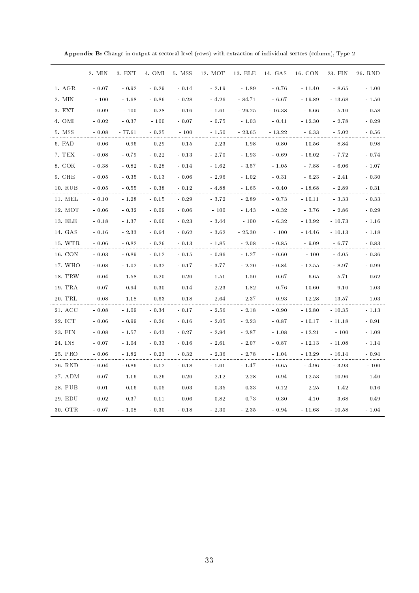|         | 2. MIN  | 3. EXT   | 4. OMI  | 5. MSS  | 12. MOT | 13. ELE  | 14. GAS  | 16. CON  | 23. FIN  | 26. RND |
|---------|---------|----------|---------|---------|---------|----------|----------|----------|----------|---------|
| 1. AGR  | $-0.07$ | $-0.92$  | $-0.29$ | $-0.14$ | $-2.19$ | $-1.89$  | $-0.76$  | $-11.40$ | $-8.65$  | $-1.00$ |
| 2. MIN  | $-100$  | $-1.68$  | $-0.86$ | $-0.28$ | $-4.26$ | $-84.71$ | $-6.67$  | $-19.89$ | $-13.68$ | $-1.50$ |
| 3. EXT  | $-0.09$ | $-100$   | $-0.28$ | $-0.16$ | $-1.61$ | $-29.25$ | $-16.38$ | $-6.66$  | $-5.10$  | $-0.58$ |
| 4. OMI  | $-0.02$ | $-0.37$  | $-100$  | $-0.07$ | $-0.75$ | $-1.03$  | $-0.41$  | $-12.30$ | $-2.78$  | $-0.29$ |
| 5. MSS  | $-0.08$ | $-77.61$ | $-0.25$ | $-100$  | $-1.50$ | $-23.65$ | $-13.22$ | $-6.33$  | $-5.02$  | $-0.56$ |
| 6. FAD  | $-0.06$ | $-0.96$  | $-0.29$ | $-0.15$ | $-2.23$ | $-1.98$  | $-0.80$  | $-10.56$ | $-8.84$  | $-0.98$ |
| 7. TEX  | $-0.08$ | $-0.79$  | $-0.22$ | $-0.13$ | $-2.70$ | $-1.93$  | $-0.69$  | $-16.02$ | - 7.72   | $-0.74$ |
| 8. COK  | $-0.38$ | $-0.82$  | $-0.28$ | $-0.14$ | $-1.62$ | $-3.57$  | $-1.05$  | $-7.88$  | $-6.06$  | $-1.07$ |
| 9. CHE  | $-0.05$ | $-0.35$  | $-0.13$ | $-0.06$ | $-2.96$ | $-1.02$  | $-0.31$  | $-6.23$  | $-2.41$  | $-0.30$ |
| 10. RUB | $-0.05$ | $-0.55$  | $-0.38$ | $-0.12$ | $-4.88$ | - 1.65   | $-0.40$  | - 18.68  | $-2.89$  | $-0.31$ |
| 11. MEL | $-0.10$ | $-1.28$  | $-0.15$ | $-0.29$ | $-3.72$ | $-2.89$  | $-0.73$  | $-10.11$ | $-3.33$  | $-0.33$ |
| 12. MOT | $-0.06$ | $-0.32$  | $-0.09$ | $-0.06$ | $-100$  | $-1.43$  | $-0.32$  | $-3.76$  | $-2.86$  | $-0.29$ |
| 13. ELE | $-0.18$ | $-1.37$  | $-0.60$ | $-0.23$ | $-3.44$ | $-100$   | $-6.32$  | $-13.92$ | $-10.73$ | $-1.16$ |
| 14. GAS | $-0.16$ | $-2.33$  | $-0.64$ | $-0.62$ | $-3.62$ | $-25.30$ | $-100$   | $-14.46$ | $-10.13$ | $-1.18$ |
| 15. WTR | $-0.06$ | $-0.82$  | $-0.26$ | $-0.13$ | $-1.85$ | $-2.08$  | $-0.85$  | $-9.09$  | $-6.77$  | $-0.83$ |
| 16. CON | $-0.03$ | $-0.89$  | $-0.12$ | $-0.15$ | $-0.96$ | $-1.27$  | $-0.60$  | $-100$   | $-4.05$  | $-0.36$ |
| 17. WHO | $-0.08$ | $-1.02$  | $-0.32$ | $-0.17$ | $-3.77$ | $-2.20$  | $-0.84$  | $-12.55$ | $-8.97$  | $-0.99$ |
| 18. TRW | $-0.04$ | $-1.58$  | $-0.20$ | $-0.20$ | $-1.51$ | $-1.50$  | $-0.67$  | $-6.65$  | $-5.71$  | $-0.62$ |
| 19. TRA | $-0.07$ | $-0.94$  | $-0.30$ | $-0.14$ | $-2.23$ | $-1.82$  | $-0.76$  | $-10.60$ | $-9.10$  | $-1.03$ |
| 20. TRL | $-0.08$ | $-1.18$  | $-0.63$ | $-0.18$ | $-2.64$ | $-2.37$  | $-0.93$  | $-12.28$ | - 13.57  | $-1.03$ |
| 21. ACC | $-0.08$ | $-1.09$  | $-0.34$ | $-0.17$ | $-2.56$ | - 2.18   | $-0.90$  | $-12.80$ | $-10.35$ | $-1.13$ |
| 22. ICT | $-0.06$ | $-0.99$  | $-0.26$ | $-0.16$ | $-2.05$ | $-2.23$  | $-0.87$  | $-10.17$ | - 11.18  | $-0.91$ |
| 23. FIN | $-0.08$ | $-1.57$  | $-0.43$ | $-0.27$ | $-2.94$ | $-2.87$  | $-1.08$  | $-12.21$ | $-100$   | $-1.09$ |
| 24. INS | $-0.07$ | $-1.04$  | $-0.33$ | $-0.16$ | $-2.61$ | $-2.07$  | $-0.87$  | $-12.13$ | $-11.08$ | $-1.14$ |
| 25. PRO | $-0.06$ | $-1.82$  | $-0.23$ | $-0.32$ | $-2.36$ | $-2.78$  | $-1.04$  | $-13.29$ | $-16.14$ | $-0.94$ |
| 26. RND | $-0.04$ | $-0.86$  | $-0.12$ | $-0.18$ | $-1.01$ | - 1.47   | $-0.65$  | $-4.96$  | $-3.93$  | $-100$  |
| 27. ADM | $-0.07$ | $-1.16$  | $-0.26$ | $-0.20$ | $-2.12$ | $-2.28$  | $-0.94$  | $-12.53$ | $-10.96$ | $-1.40$ |
| 28. PUB | $-0.01$ | $-0.16$  | $-0.05$ | $-0.03$ | $-0.35$ | $-0.33$  | $-0.12$  | $-2.25$  | $-1.42$  | $-0.16$ |
| 29. EDU | $-0.02$ | $-0.37$  | $-0.11$ | $-0.06$ | $-0.82$ | $-0.73$  | $-0.30$  | $-4.10$  | $-3.68$  | $-0.49$ |
| 30. OTR | $-0.07$ | $-1.08$  | $-0.30$ | $-0.18$ | $-2.30$ | $-2.35$  | $-0.94$  | $-11.68$ | $-10.58$ | $-1.04$ |

Appendix B: Change in output at sectoral level (rows) with extraction of individual sectors (column), Type 2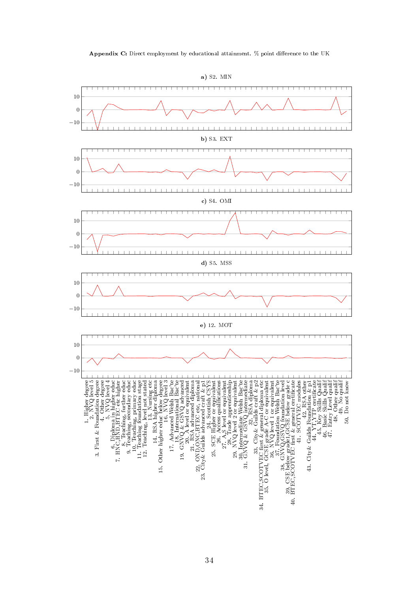![](_page_34_Figure_0.jpeg)

![](_page_34_Figure_1.jpeg)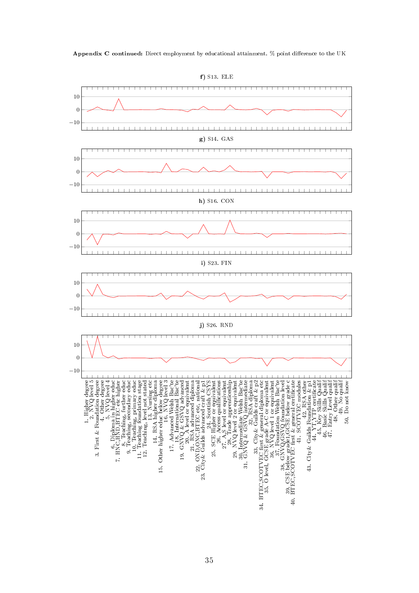![](_page_35_Figure_0.jpeg)

![](_page_35_Figure_1.jpeg)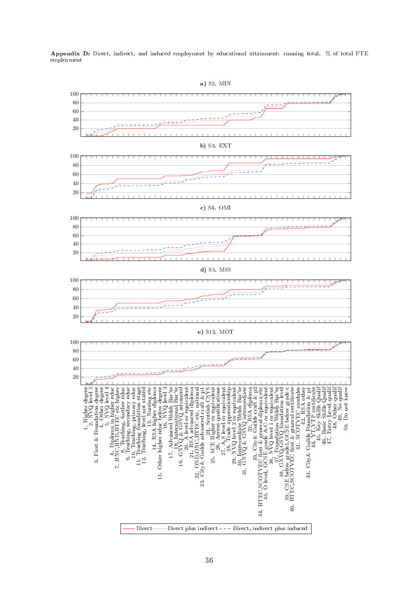Appendix D: Direct, indirect, and induced employment by educational attainment: running total. % of total FTE employment

![](_page_36_Figure_1.jpeg)

- Direct **Direct** plus indirect --- Direct, indirect plus induced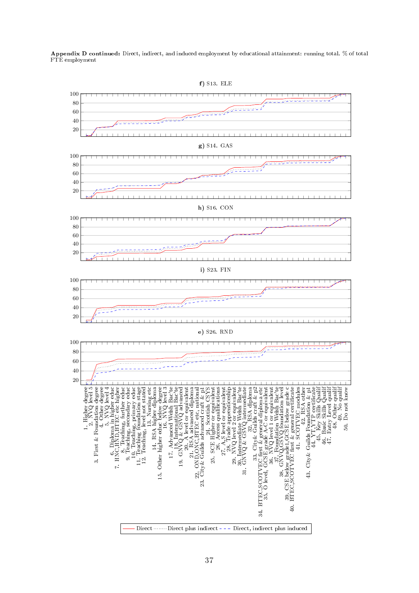Appendix D continued: Direct, indirect, and induced employment by educational attainment: running total. % of total FTE employment

![](_page_37_Figure_1.jpeg)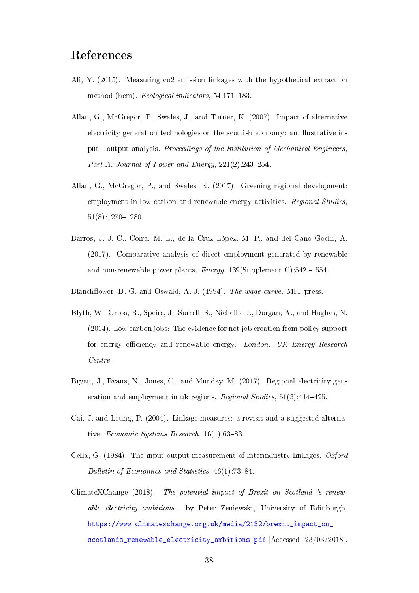# References

- <span id="page-38-9"></span>Ali, Y. (2015). Measuring co2 emission linkages with the hypothetical extraction method (hem). Ecological indicators,  $54:171-183$ .
- <span id="page-38-7"></span>Allan, G., McGregor, P., Swales, J., and Turner, K. (2007). Impact of alternative electricity generation technologies on the scottish economy: an illustrative input—output analysis. Proceedings of the Institution of Mechanical Engineers, Part A: Journal of Power and Energy,  $221(2):243-254$ .
- <span id="page-38-3"></span>Allan, G., McGregor, P., and Swales, K. (2017). Greening regional development: employment in low-carbon and renewable energy activities. Regional Studies,  $51(8):1270-1280.$
- <span id="page-38-5"></span>Barros, J. J. C., Coira, M. L., de la Cruz López, M. P., and del Caño Gochi, A. (2017). Comparative analysis of direct employment generated by renewable and non-renewable power plants. Energy,  $139(Supplement C):542 - 554$ .
- <span id="page-38-4"></span><span id="page-38-1"></span>Blanchflower, D. G. and Oswald, A. J. (1994). The wage curve. MIT press.
- Blyth, W., Gross, R., Speirs, J., Sorrell, S., Nicholls, J., Dorgan, A., and Hughes, N. (2014). Low carbon jobs: The evidence for net job creation from policy support for energy efficiency and renewable energy. London: UK Energy Research Centre.
- <span id="page-38-6"></span>Bryan, J., Evans, N., Jones, C., and Munday, M. (2017). Regional electricity generation and employment in uk regions. Regional Studies,  $51(3):414-425$ .
- <span id="page-38-8"></span>Cai, J. and Leung, P. (2004). Linkage measures: a revisit and a suggested alternative. Economic Systems Research,  $16(1)$ :63-83.
- <span id="page-38-0"></span>Cella, G. (1984). The input-output measurement of interindustry linkages. Oxford Bulletin of Economics and Statistics,  $46(1)$ : 73-84.
- <span id="page-38-2"></span>ClimateXChange (2018). The potential impact of Brexit on Scotland 's renewable electricity ambitions . by Peter Zeniewski, University of Edinburgh. [https://www.climatexchange.org.uk/media/2132/brexit\\_impact\\_on\\_](https://www.climatexchange.org.uk/media/2132/brexit_impact_on_scotlands_renewable_electricity_ambitions.pdf) [scotlands\\_renewable\\_electricity\\_ambitions.pdf](https://www.climatexchange.org.uk/media/2132/brexit_impact_on_scotlands_renewable_electricity_ambitions.pdf) [Accessed: 23/03/2018].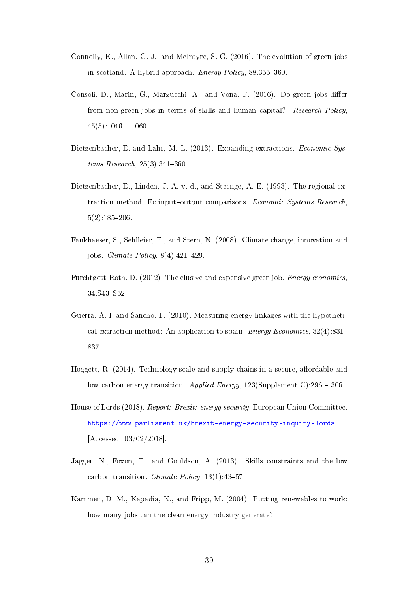- <span id="page-39-6"></span>Connolly, K., Allan, G. J., and McIntyre, S. G. (2016). The evolution of green jobs in scotland: A hybrid approach. *Energy Policy*, 88:355-360.
- <span id="page-39-0"></span>Consoli, D., Marin, G., Marzucchi, A., and Vona, F. (2016). Do green jobs differ from non-green jobs in terms of skills and human capital? Research Policy,  $45(5):1046-1060.$
- <span id="page-39-9"></span>Dietzenbacher, E. and Lahr, M. L. (2013). Expanding extractions. Economic Systems Research,  $25(3):341-360$ .
- <span id="page-39-8"></span>Dietzenbacher, E., Linden, J. A. v. d., and Steenge, A. E. (1993). The regional extraction method: Ec input-output comparisons. Economic Systems Research,  $5(2):185-206.$
- <span id="page-39-4"></span>Fankhaeser, S., Sehlleier, F., and Stern, N. (2008). Climate change, innovation and jobs. *Climate Policy*,  $8(4):421-429$ .
- <span id="page-39-5"></span>Furchtgott-Roth, D. (2012). The elusive and expensive green job. Energy economics, 34:S43-S52.
- <span id="page-39-10"></span>Guerra, A.-I. and Sancho, F. (2010). Measuring energy linkages with the hypothetical extraction method: An application to spain. *Energy Economics*,  $32(4)$ :831– 837.
- <span id="page-39-3"></span>Hoggett, R.  $(2014)$ . Technology scale and supply chains in a secure, affordable and low carbon energy transition. Applied Energy, 123(Supplement C):296 – 306.
- <span id="page-39-2"></span>House of Lords (2018). Report: Brexit: energy security. European Union Committee. <https://www.parliament.uk/brexit-energy-security-inquiry-lords> [Accessed: 03/02/2018].
- <span id="page-39-1"></span>Jagger, N., Foxon, T., and Gouldson, A. (2013). Skills constraints and the low carbon transition. Climate Policy,  $13(1)$ :  $43-57$ .
- <span id="page-39-7"></span>Kammen, D. M., Kapadia, K., and Fripp, M. (2004). Putting renewables to work: how many jobs can the clean energy industry generate?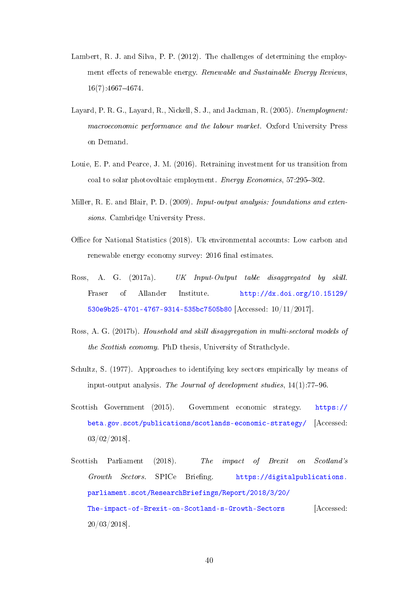- <span id="page-40-3"></span>Lambert, R. J. and Silva, P. P. (2012). The challenges of determining the employment effects of renewable energy. Renewable and Sustainable Energy Reviews,  $16(7):4667-4674.$
- <span id="page-40-2"></span>Layard, P. R. G., Layard, R., Nickell, S. J., and Jackman, R. (2005). Unemployment: macroeconomic performance and the labour market. Oxford University Press on Demand.
- <span id="page-40-6"></span>Louie, E. P. and Pearce, J. M. (2016). Retraining investment for us transition from coal to solar photovoltaic employment. Energy Economics,  $57:295-302$ .
- <span id="page-40-7"></span>Miller, R. E. and Blair, P. D. (2009). Input-output analysis: foundations and extensions. Cambridge University Press.
- <span id="page-40-5"></span>Office for National Statistics (2018). Uk environmental accounts: Low carbon and renewable energy economy survey: 2016 final estimates.
- <span id="page-40-0"></span>Ross, A. G. (2017a). UK Input-Output table disaggregated by skill. Fraser of Allander Institute. [http://dx.doi.org/10.15129/](http://dx.doi.org/10.15129/530e9b25-4701-4767-9314-535bc7505b80) [530e9b25-4701-4767-9314-535bc7505b80](http://dx.doi.org/10.15129/530e9b25-4701-4767-9314-535bc7505b80) [Accessed: 10/11/2017].
- <span id="page-40-9"></span>Ross, A. G. (2017b). Household and skill disaggregation in multi-sectoral models of the Scottish economy. PhD thesis, University of Strathclyde.
- <span id="page-40-8"></span>Schultz, S. (1977). Approaches to identifying key sectors empirically by means of input-output analysis. The Journal of development studies,  $14(1)$ :77-96.
- <span id="page-40-4"></span>Scottish Government (2015). Government economic strategy. [https://](https://beta.gov.scot/publications/scotlands-economic-strategy/) [beta.gov.scot/publications/scotlands-economic-strategy/](https://beta.gov.scot/publications/scotlands-economic-strategy/) [Accessed: 03/02/2018].
- <span id="page-40-1"></span>Scottish Parliament (2018). The impact of Brexit on Scotland's Growth Sectors. SPICe Briefing. [https://digitalpublications.](https://digitalpublications.parliament.scot/ResearchBriefings/Report/2018/3/20/The-impact-of-Brexit-on-Scotland-s-Growth-Sectors) [parliament.scot/ResearchBriefings/Report/2018/3/20/](https://digitalpublications.parliament.scot/ResearchBriefings/Report/2018/3/20/The-impact-of-Brexit-on-Scotland-s-Growth-Sectors) [The-impact-of-Brexit-on-Scotland-s-Growth-Sectors](https://digitalpublications.parliament.scot/ResearchBriefings/Report/2018/3/20/The-impact-of-Brexit-on-Scotland-s-Growth-Sectors) [Accessed: 20/03/2018].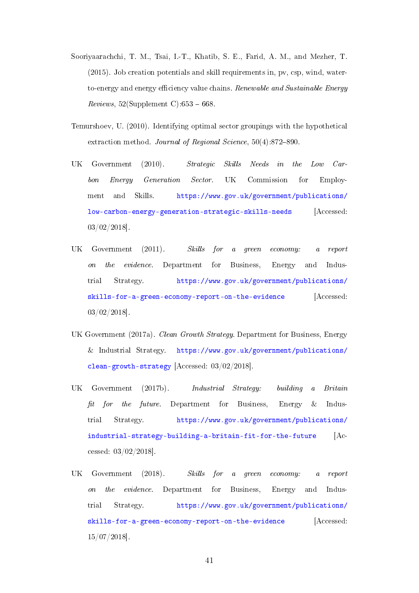- <span id="page-41-5"></span>Sooriyaarachchi, T. M., Tsai, I.-T., Khatib, S. E., Farid, A. M., and Mezher, T. (2015). Job creation potentials and skill requirements in, pv, csp, wind, waterto-energy and energy efficiency value chains. Renewable and Sustainable Energy Reviews,  $52(Supplement C): 653 - 668$ .
- <span id="page-41-6"></span>Temurshoev, U. (2010). Identifying optimal sector groupings with the hypothetical extraction method. Journal of Regional Science,  $50(4):872-890$ .
- <span id="page-41-1"></span>UK Government (2010). Strategic Skills Needs in the Low Carbon Energy Generation Sector. UK Commission for Employment and Skills. [https://www.gov.uk/government/publications/](https://www.gov.uk/government/publications/low-carbon-energy-generation-strategic-skills-needs) [low-carbon-energy-generation-strategic-skills-needs](https://www.gov.uk/government/publications/low-carbon-energy-generation-strategic-skills-needs) [Accessed: 03/02/2018].
- <span id="page-41-2"></span>UK Government (2011). Skills for a green economy: a report on the evidence. Department for Business, Energy and Industrial Strategy. [https://www.gov.uk/government/publications/](https://www.gov.uk/government/publications/skills-for-a-green-economy-report-on-the-evidence) [skills-for-a-green-economy-report-on-the-evidence](https://www.gov.uk/government/publications/skills-for-a-green-economy-report-on-the-evidence) [Accessed: 03/02/2018].
- <span id="page-41-3"></span>UK Government (2017a). Clean Growth Strategy. Department for Business, Energy & Industrial Strategy. [https://www.gov.uk/government/publications/](https://www.gov.uk/government/publications/clean-growth-strategy) [clean-growth-strategy](https://www.gov.uk/government/publications/clean-growth-strategy) [Accessed: 03/02/2018].
- <span id="page-41-4"></span>UK Government (2017b). Industrial Strategy: building a Britain fit for the future. Department for Business, Energy  $\&$  Industrial Strategy. [https://www.gov.uk/government/publications/](https://www.gov.uk/government/publications/industrial-strategy-building-a-britain-fit-for-the-future) [industrial-strategy-building-a-britain-fit-for-the-future](https://www.gov.uk/government/publications/industrial-strategy-building-a-britain-fit-for-the-future) [Accessed: 03/02/2018].
- <span id="page-41-0"></span>UK Government (2018). Skills for a green economy: a report on the evidence. Department for Business, Energy and Industrial Strategy. [https://www.gov.uk/government/publications/](https://www.gov.uk/government/publications/skills-for-a-green-economy-report-on-the-evidence) [skills-for-a-green-economy-report-on-the-evidence](https://www.gov.uk/government/publications/skills-for-a-green-economy-report-on-the-evidence) [Accessed: 15/07/2018].